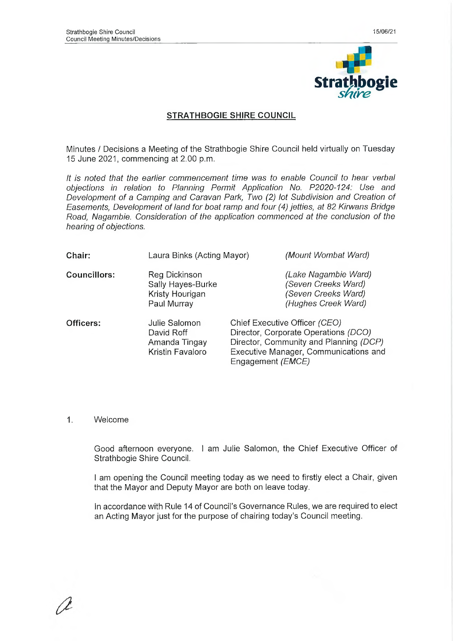

## **STRATHBOGIE SHIRE COUNCIL**

Minutes / Decisions a Meeting of the Strathbogie Shire Council held virtually on Tuesday 15 June 2021, commencing at 2.00 p.m.

*It is noted that the earlier commencement time* was *to enable Council to hear verbal objections in relation to Planning Permit Application No. P2020-124: Use and Development of a Camping and Caravan Park, Two (2) lot Subdivision and Creation of Easements, Development of land for boat ramp and four (4) jetties, at 82 Kirwans Bridge Road, Nagambie. Consideration of the application commenced at the conclusion of the hearing of objections.*

| Chair:              | Laura Binks (Acting Mayor)                                           | (Mount Wombat Ward)                                                                                                                                                                    |
|---------------------|----------------------------------------------------------------------|----------------------------------------------------------------------------------------------------------------------------------------------------------------------------------------|
| <b>Councillors:</b> | Reg Dickinson<br>Sally Hayes-Burke<br>Kristy Hourigan<br>Paul Murray | (Lake Nagambie Ward)<br>(Seven Creeks Ward)<br>(Seven Creeks Ward)<br>(Hughes Creek Ward)                                                                                              |
| Officers:           | Julie Salomon<br>David Roff<br>Amanda Tingay<br>Kristin Favaloro     | Chief Executive Officer (CEO)<br>Director, Corporate Operations (DCO)<br>Director, Community and Planning (DCP)<br>Executive Manager, Communications and<br>Engagement ( <i>EMCE</i> ) |

#### 1. Welcome

Good afternoon everyone. I am Julie Salomon, the Chief Executive Officer of Strathbogie Shire Council.

I am opening the Council meeting today as we need to firstly elect a Chair, given that the Mayor and Deputy Mayor are both on leave today.

in accordance with Rule 14 of Council's Governance Rules, we are required to elect an Acting Mayor just for the purpose of chairing today's Council meeting.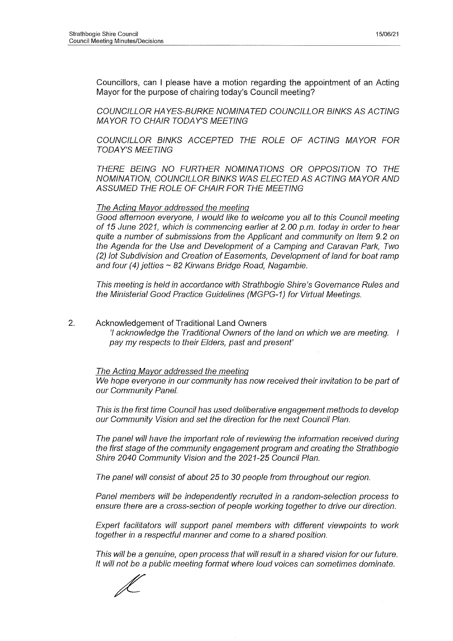Councillors, can I please have a motion regarding the appointment of an Acting Mayor for the purpose of chairing today's Council meeting?

*COUNCILLOR HAYES-BURKE NOMINATED COUNCILLOR BINKS AS ACTING MAYOR TO CHAIR TODAY'S MEETING*

*COUNCILLOR BINKS ACCEPTED THE ROLE OF ACTING MAYOR FOR TODAY'S MEETING*

*THERE BEING NO FURTHER NOMINATIONS OR OPPOSITION TO THE NOMINATION, COUNCILLOR BINKS WAS ELECTED AS ACTING MAYOR AND ASSUMED THE ROLE OF CHAIR FOR THE MEETING*

#### *The Acting Mayor addressed the meeting*

*Good afternoon everyone, I would like to welcome you all to this Council meeting of 15 June 2021, which is commencing earlier at 2.00 p.m. today in order to hear quite a number of submissions from the Applicant and community on Item 9.2 on the Agenda for the Use and Development of a Camping and Caravan Park, Two (2) lot Subdivision and Creation of Easements, Development of land for boat ramp and four (4) jetties ~ 82 Kirwans Bridge Road, Nagambie.*

*This meeting is held in accordance with Strathbogie Shire's Governance Rules and the Ministerial Good Practice Guidelines (MGPG-1) for Virtual Meetings.*

2. Acknowledgement of Traditional Land Owners 7 *acknowledge the Traditional Owners of the land on which we are meeting. I pay my respects to their Elders, past and present'*

#### *The Acting Mayor addressed the meeting*

*We hope everyone in our community has now received their invitation to be part of our Community Panel.*

*This is the first time Council has used deliberative engagement methods to develop our Community Vision and set the direction for the next Council Plan.*

*The panel will have the important role of reviewing the information received during the first stage of the community engagement program and creating the Strathbogie Shire 2040 Community Vision and the 2021-25 Council Plan.*

*The panel will consist of about 25 to 30 people from throughout our region.*

*Panel members will be independently recruited in a random-selection process to ensure there are a cross-section of people working together to drive our direction.*

*Expert facilitators will support panel members with different viewpoints to work together in a respectful manner and come to a shared position.*

*This will be a genuine, open process that will result in a shared vision for our future. It will not be a public meeting format where loud voices can sometimes dominate.*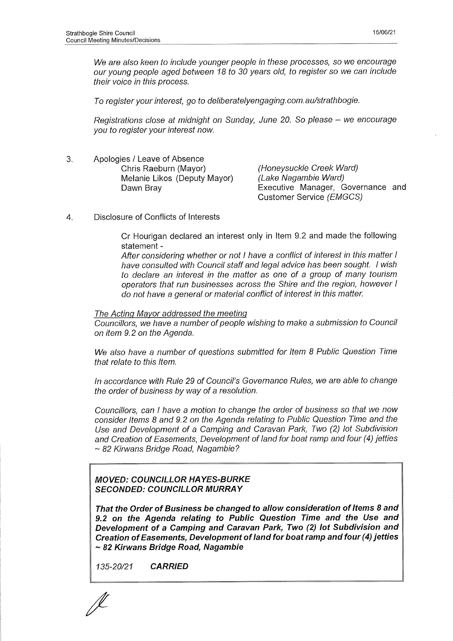*We are also keen to include younger people in these processes, so we encourage our young people aged between 18 to 30 years old, to register so we can include their voice in this process.*

*To register your interest, go to deliberatelyengaging.com.au/strathbogie.*

*Registrations close at midnight on Sunday, June 20. So please - we encourage you to register your interest now.*

3. Apologies / Leave of Absence Chris Raeburn (Mayor) Melanie Likos (Deputy Mayor) Dawn Bray

*(Honeysuckle Creek Ward) (Lake Nagambie Ward)* Executive Manager, Governance and Customer Service *(EMGCS)*

*4.* Disclosure of Conflicts of Interests

Cr Hourigan declared an interest only in Item 9.2 and made the following statement -

*After considering whether or not I have a conflict of interest in this matter I have consulted with Council staff and legal advice has been sought. I wish to declare an interest in the matter as one of a group of many tourism operators that run businesses across the Shire and the region, however I do not have a general or material conflict of interest in this matter.*

#### *The Acting Mayor addressed the meeting*

*Councillors, we have a number of people wishing to make a submission to Council on item 9.2 on the Agenda.*

*We also have a number of questions submitted for Item 8 Public Question Time that relate to this Item.*

*In accordance with Rule 29 of Council's Governance Rules, we are able to change the order of business by way of a resolution.* 

*Councillors, can I have a motion to change the order of business so that we now consider Items 8 and 9.2 on the Agenda relating to Public Question Time and the Use and Development of a Camping and Caravan Park, Two (2) lot Subdivision and Creation of Easements, Development of land for boat ramp and four (4) jetties ~ 82 Kirwans Bridge Road, Nagambie?*

## *MOVED: COUNCILLOR HAYES-BURKE SECONDED: COUNCILLOR MURRAY*

*That the Order of Business be changed to allow consideration of Items 8 and 9.2 on the Agenda relating to Public Question Time and the Use and Development of a Camping and Caravan Park, Two (2) lot Subdivision and Creation of Easements, Development of land for boat ramp and four (4) jetties ~ 82 Kirwans Bridge Road, Nagambie*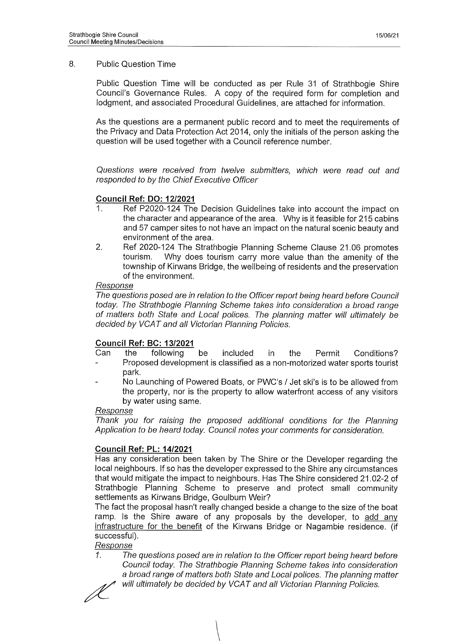#### 8. Public Question Time

Public Question Time will be conducted as per Rule 31 of Strathbogie Shire Council's Governance Rules. A copy of the required form for completion and lodgment, and associated Procedural Guidelines, are attached for information.

As the questions are a permanent public record and to meet the requirements of the Privacy and Data Protection Act 2014, only the initials of the person asking the question will be used together with a Council reference number.

*Questions were received from twelve submitters, which were read out and responded to by the Chief Executive Officer*

## **Council Ref: DO: 12/2021**

- 1. Ref P2020-124 The Decision Guidelines take into account the impact on the character and appearance of the area. Why is it feasible for 215 cabins and 57 camper sites to not have an impact on the natural scenic beauty and environment of the area.
- 2. Ref 2020-124 The Strathbogie Planning Scheme Clause 21.06 promotes tourism. Why does tourism carry more value than the amenity of the township of Kirwans Bridge, the wellbeing of residents and the preservation of the environment.

#### *Response*

*The questions posed are in relation to the Officer report being heard before Council today. The Strathbogie Planning Scheme takes into consideration a broad range of matters both State and Local polices. The planning matter will ultimately be decided by VC AT and all Victorian Planning Policies.*

## **Council Ref: BC: 13/2021**

- Can the following be included in the Permit Conditions? Proposed development is classified as a non-motorized water sports tourist park.
- No Launching of Powered Boats, or PWC's / Jet ski's is to be allowed from the property, nor is the property to allow waterfront access of any visitors by water using same.

#### *Response*

*Thank you for raising the proposed additional conditions for the Planning Application to be heard today. Council notes your comments for consideration.*

## **Council Ref: PL: 14/2021**

Has any consideration been taken by The Shire or the Developer regarding the local neighbours. If so has the developer expressed to the Shire any circumstances that would mitigate the impact to neighbours. Has The Shire considered 21.02-2 of Strathbogie Planning Scheme to preserve and protect small community settlements as Kirwans Bridge, Goulburn Weir?

The fact the proposal hasn't really changed beside a change to the size of the boat ramp. Is the Shire aware of any proposals by the developer, to add any infrastructure for the benefit of the Kirwans Bridge or Nagambie residence, (if successful).

## *Response*

*1. The questions posed are in relation to the Officer report being heard before Council today. The Strathbogie Planning Scheme takes into consideration a broad range of matters both State and Local polices. The planning matter will ultimately be decided by VCAT and all Victorian Planning Policies.*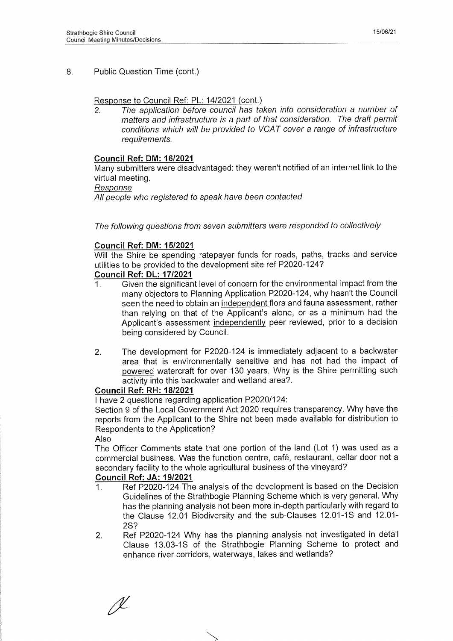## 8. Public Question Time (cont.)

#### Response to Council Ref: PL: 14/2021 (cont.)

2. *The application before council has taken into consideration a number of matters and infrastructure is a part of that consideration. The draft permit conditions which will be provided to VCAT cover a range of infrastructure requirements.*

#### **Council Ref: DM: 16/2021**

Many submitters were disadvantaged: they weren't notified of an internet link to the virtual meeting.

#### *Response*

*All people who registered to speak have been contacted*

#### *The following questions from seven submitters were responded to collectively*

#### **Council Ref: DM: 15/2021**

Will the Shire be spending ratepayer funds for roads, paths, tracks and service utilities to be provided to the development site ref P2020-124?

#### **Council Ref: DL: 17/2021**

- 1. Given the significant level of concern for the environmental impact from the many objectors to Planning Application P2020-124, why hasn't the Council seen the need to obtain an independent flora and fauna assessment, rather than relying on that of the Applicant's alone, or as a minimum had the Applicant's assessment independently peer reviewed, prior to a decision being considered by Council.
- 2. The development for P2020-124 is immediately adjacent to a backwater area that is environmentally sensitive and has not had the impact of powered watercraft for over 130 years. Why is the Shire permitting such activity into this backwater and wetland area?.

#### **Council Ref: RH: 18/2021**

I have 2 questions regarding application P2020/124:

Section 9 of the Local Government Act 2020 requires transparency. Why have the reports from the Applicant to the Shire not been made available for distribution to Respondents to the Application?

#### Also

The Officer Comments state that one portion of the land (Lot 1) was used as a commercial business. Was the function centre, café, restaurant, cellar door not a secondary facility to the whole agricultural business of the vineyard?

#### **Council Ref: JA: 19/2021**

- 1. Ref P2020-124 The analysis of the development is based on the Decision Guidelines of the Strathbogie Planning Scheme which is very general. Why has the planning analysis not been more in-depth particularly with regard to the Clause 12.01 Biodiversity and the sub-Clauses 12.01-1S and 12.01-2S?
- 2. Ref P2020-124 Why has the planning analysis not investigated in detail Clause 13.03-1S of the Strathbogie Planning Scheme to protect and enhance river corridors, waterways, lakes and wetlands?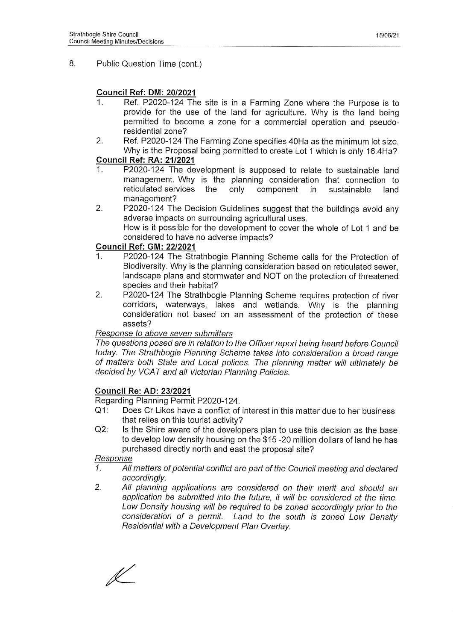## 8. Public Question Time (cont.)

## **Council Ref: DM: 20/2021**

- 1. Ref. P2020-124 The site is in a Farming Zone where the Purpose is to provide for the use of the land for agriculture. Why is the land being permitted to become a zone for a commercial operation and pseudoresidential zone?
- 2. Ref. P2020-124 The Farming Zone specifies 40Ha as the minimum lot size. Why is the Proposal being permitted to create Lot 1 which is only 16.4Ha?

## **Council Ref: RA: 21/2021**

- 1. P2020-124 The development is supposed to relate to sustainable land management. Why is the planning consideration that connection to reticulated services the only component in sustainable land management?
- 2. P2020-124 The Decision Guidelines suggest that the buildings avoid any adverse impacts on surrounding agricultural uses. How is it possible for the development to cover the whole of Lot 1 and be considered to have no adverse impacts?

## **Council Ref: GM: 22/2021**

- 1. P2020-124 The Strathbogie Planning Scheme calls for the Protection of Biodiversity. Why is the planning consideration based on reticulated sewer, landscape plans and stormwater and NOT on the protection of threatened species and their habitat?
- 2. P2020-124 The Strathbogie Planning Scheme requires protection of river corridors, waterways, lakes and wetlands. Why is the planning consideration not based on an assessment of the protection of these assets?

## *Response to above seven submitters*

*The questions posed are in relation to the Officer report being heard before Council today. The Strathbogie Planning Scheme takes into consideration a broad range* of matters both State and Local polices. The planning matter will ultimately be *decided by VCAT and all Victorian Planning Policies.*

## **Council Re: AD: 23/2021**

Regarding Planning Permit P2020-124.

- Q1: Does Cr Likos have a conflict of interest in this matter due to her business that relies on this tourist activity?
- Q2: Is the Shire aware of the developers plan to use this decision as the base to develop low density housing on the \$15 -20 million dollars of land he has purchased directly north and east the proposal site?

## *Response*

- *1. All matters of potential conflict are part of the Council meeting and declared accordingly.*
- *2. All planning applications are considered on their merit and should an application be submitted into the future, it will be considered at the time. Low Density housing will be required to be zoned accordingly prior to the consideration of a permit. Land to the south is zoned Low Density Residential with a Development Plan Overlay.*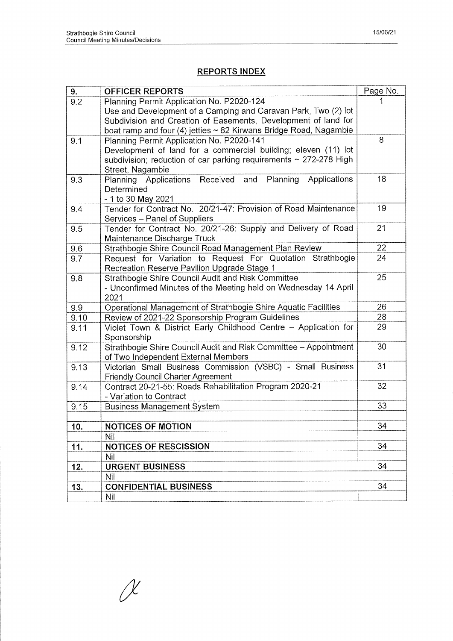## **REPORTS INDEX**

| 9.   | <b>OFFICER REPORTS</b>                                                 | Page No. |
|------|------------------------------------------------------------------------|----------|
| 9.2  | Planning Permit Application No. P2020-124                              |          |
|      | Use and Development of a Camping and Caravan Park, Two (2) lot         |          |
|      | Subdivision and Creation of Easements, Development of land for         |          |
|      | boat ramp and four (4) jetties ~ 82 Kirwans Bridge Road, Nagambie      |          |
| 9.1  | Planning Permit Application No. P2020-141                              | 8        |
|      | Development of land for a commercial building; eleven (11) lot         |          |
|      | subdivision; reduction of car parking requirements $\sim$ 272-278 High |          |
|      | Street, Nagambie                                                       |          |
| 9.3  | Planning Applications Received<br>and Planning<br>Applications         | 18       |
|      | Determined                                                             |          |
|      | - 1 to 30 May 2021                                                     |          |
| 9.4  | Tender for Contract No. 20/21-47: Provision of Road Maintenance        | 19       |
|      | Services - Panel of Suppliers                                          |          |
| 9.5  | Tender for Contract No. 20/21-26: Supply and Delivery of Road          | 21       |
|      | Maintenance Discharge Truck                                            |          |
| 9.6  | Strathbogie Shire Council Road Management Plan Review                  | 22       |
| 9.7  | Request for Variation to Request For Quotation Strathbogie             | 24       |
|      | Recreation Reserve Pavilion Upgrade Stage 1                            |          |
| 9.8  | Strathbogie Shire Council Audit and Risk Committee                     | 25       |
|      | - Unconfirmed Minutes of the Meeting held on Wednesday 14 April        |          |
|      | 2021                                                                   |          |
| 9.9  | Operational Management of Strathbogie Shire Aquatic Facilities         | 26       |
| 9.10 | Review of 2021-22 Sponsorship Program Guidelines                       | 28       |
| 9.11 | Violet Town & District Early Childhood Centre - Application for        | 29       |
|      | Sponsorship                                                            |          |
| 9.12 | Strathbogie Shire Council Audit and Risk Committee - Appointment       | 30       |
|      | of Two Independent External Members                                    |          |
| 9.13 | Victorian Small Business Commission (VSBC) - Small Business            | 31       |
|      | Friendly Council Charter Agreement                                     |          |
| 9.14 | Contract 20-21-55: Roads Rehabilitation Program 2020-21                | 32       |
|      | - Variation to Contract                                                |          |
| 9.15 | <b>Business Management System</b>                                      | 33       |
|      |                                                                        | 34       |
| 10.  | <b>NOTICES OF MOTION</b><br>Nil                                        |          |
| 11.  | <b>NOTICES OF RESCISSION</b>                                           | 34       |
|      | Nil                                                                    |          |
| 12.  | <b>URGENT BUSINESS</b>                                                 | 34       |
|      | Nil                                                                    |          |
|      |                                                                        | 34       |
| 13.  | <b>CONFIDENTIAL BUSINESS</b>                                           |          |
|      | Nil                                                                    |          |

 $\chi$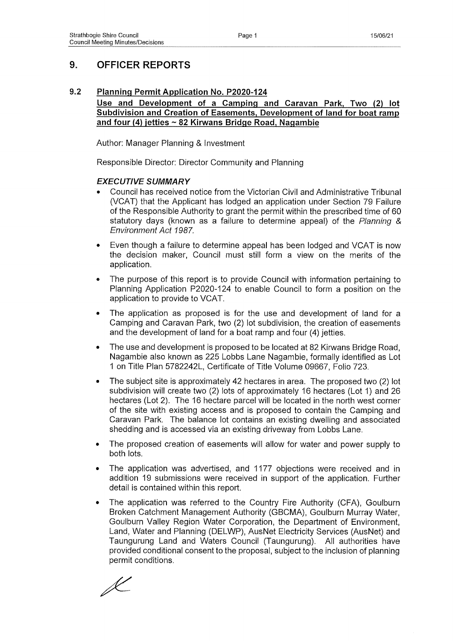# **9. OFFICER REPORTS**

## **9.2 Planning Permit Application No. P2020-124**

## **Use and Development of a Camping and Caravan Park. Two (2) lot Subdivision and Creation of Easements, Development of land for boat ramp and four (4) jetties ~ 82 Kirwans Bridge Road. Nagambie**

Author: Manager Planning & Investment

Responsible Director: Director Community and Planning

## *EXECUTIVE SUMMARY*

- *•* Council has received notice from the Victorian Civil and Administrative Tribunal (VCAT) that the Applicant has lodged an application under Section 79 Failure of the Responsible Authority to grant the permit within the prescribed time of 60 statutory days (known as a failure to determine appeal) of the *Planning & Environment Act 1987.*
- Even though a failure to determine appeal has been lodged and VCAT is now the decision maker, Council must still form a view on the merits of the application.
- The purpose of this report is to provide Council with information pertaining to Planning Application P2020-124 to enable Council to form a position on the application to provide to VCAT.
- The application as proposed is for the use and development of land for a Camping and Caravan Park, two (2) lot subdivision, the creation of easements and the development of land for a boat ramp and four (4) jetties.
- The use and development is proposed to be located at 82 Kirwans Bridge Road, Nagambie also known as 225 Lobbs Lane Nagambie, formally identified as Lot 1 on Title Plan 5782242L, Certificate of Title Volume 09667, Folio 723.
- The subject site is approximately 42 hectares in area. The proposed two (2) lot subdivision will create two (2) lots of approximately 16 hectares (Lot 1) and 26 hectares (Lot 2). The 16 hectare parcel will be located in the north west corner of the site with existing access and is proposed to contain the Camping and Caravan Park. The balance lot contains an existing dwelling and associated shedding and is accessed via an existing driveway from Lobbs Lane.
- The proposed creation of easements will allow for water and power supply to both lots.
- The application was advertised, and 1177 objections were received and in addition 19 submissions were received in support of the application. Further detail is contained within this report.
- The application was referred to the Country Fire Authority (CFA), Goulburn Broken Catchment Management Authority (GBCMA), Goulburn Murray Water, Goulburn Valley Region Water Corporation, the Department of Environment, Land, Water and Planning (DELWP), AusNet Electricity Services (AusNet) and Taungurung Land and Waters Council (Taungurung). All authorities have provided conditional consent to the proposal, subject to the inclusion of planning permit conditions.

L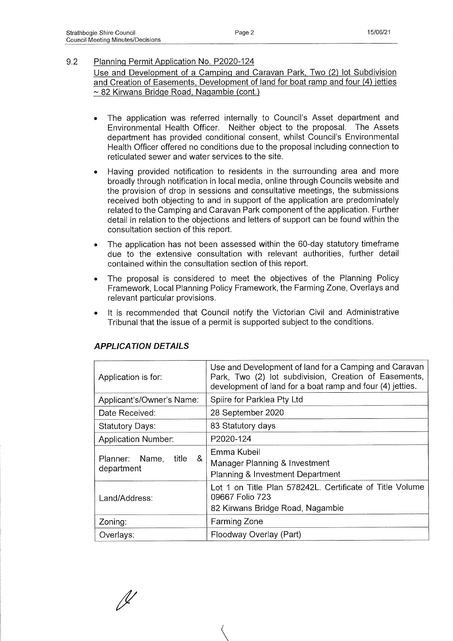## 9.2 Planning Permit Application No. P2020-124 Use and Development of a Camping and Caravan Park. Two (2) lot Subdivision and Creation of Easements, Development of land for boat ramp and four (4) jetties ~ 82 Kirwans Bridge Road, Nagambie (cont.)

- The application was referred internally to Council's Asset department and Environmental Health Officer. Neither object to the proposal. The Assets department has provided conditional consent, whilst Council's Environmental Health Officer offered no conditions due to the proposal including connection to reticulated sewer and water services to the site.
- Having provided notification to residents in the surrounding area and more broadly through notification in local media, online through Councils website and the provision of drop in sessions and consultative meetings, the submissions received both objecting to and in support of the application are predominately related to the Camping and Caravan Park component of the application. Further detail in relation to the objections and letters of support can be found within the consultation section of this report.
- The application has not been assessed within the 60-day statutory timeframe due to the extensive consultation with relevant authorities, further detail contained within the consultation section of this report.
- The proposal is considered to meet the objectives of the Planning Policy Framework, Local Planning Policy Framework, the Farming Zone, Overlays and relevant particular provisions.
- It is recommended that Council notify the Victorian Civil and Administrative Tribunal that the issue of a permit is supported subject to the conditions.

| Application is for:                        | Use and Development of land for a Camping and Caravan<br>Park, Two (2) lot subdivision, Creation of Easements,<br>development of land for a boat ramp and four (4) jetties. |
|--------------------------------------------|-----------------------------------------------------------------------------------------------------------------------------------------------------------------------------|
| Applicant's/Owner's Name:                  | Spiire for Parklea Pty Ltd                                                                                                                                                  |
| Date Received:                             | 28 September 2020                                                                                                                                                           |
| <b>Statutory Days:</b>                     | 83 Statutory days                                                                                                                                                           |
| <b>Application Number:</b>                 | P2020-124                                                                                                                                                                   |
| &<br>title<br>Planner: Name,<br>department | Emma Kubeil<br>Manager Planning & Investment<br><b>Planning &amp; Investment Department</b>                                                                                 |
| Land/Address:                              | Lot 1 on Title Plan 578242L. Certificate of Title Volume<br>09667 Folio 723<br>82 Kirwans Bridge Road, Nagambie                                                             |
| Zoning:                                    | <b>Farming Zone</b>                                                                                                                                                         |
| Overlays:                                  | Floodway Overlay (Part)                                                                                                                                                     |

## *APPLICATION DETAILS*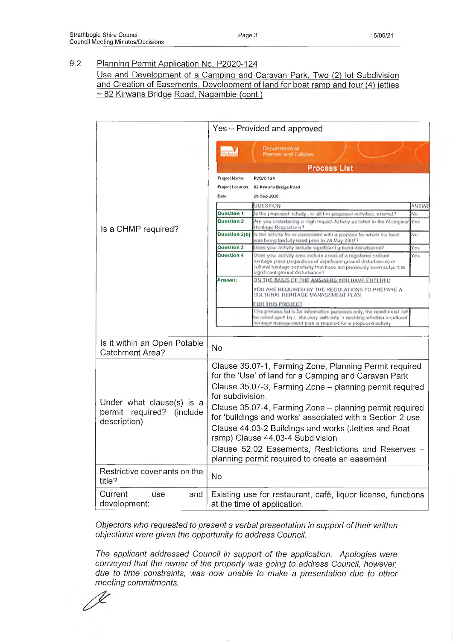Use and Development of a Camping and Caravan Park. Two (2) lot Subdivision and Creation of Easements, Development of land for boat ramp and four (4) jetties ~ 82 Kirwans Bridge Road, Nagambie (cont.)

|                                                                        |                                                                                                       | Yes - Provided and approved                                                                                                                                                                                                                    |              |
|------------------------------------------------------------------------|-------------------------------------------------------------------------------------------------------|------------------------------------------------------------------------------------------------------------------------------------------------------------------------------------------------------------------------------------------------|--------------|
|                                                                        | Victori                                                                                               | Department of<br><b>Premier and Cabinet</b><br><b>Process List</b>                                                                                                                                                                             |              |
|                                                                        | Project Name.                                                                                         | P2020-124                                                                                                                                                                                                                                      |              |
|                                                                        | Project Location                                                                                      | 82 Kewans Bridge Road                                                                                                                                                                                                                          |              |
|                                                                        | Date                                                                                                  | 28-Sep-2020                                                                                                                                                                                                                                    |              |
|                                                                        |                                                                                                       | QUESTION                                                                                                                                                                                                                                       | <b>ANSWE</b> |
|                                                                        | Question 1                                                                                            | is the proposed activity , or all the proposed activities, exempt?                                                                                                                                                                             | No           |
| Is a CHMP required?                                                    | Question 2                                                                                            | Are you undertaking a High Impact Activity as fisted in the Abonginal<br>Heritage Regulations?                                                                                                                                                 | Yes          |
|                                                                        | Question 2(b)                                                                                         | Is the activity for or associated with a purpose for which the land<br>was being lawfully used prior to 28 May 2007?                                                                                                                           | No.          |
|                                                                        | <b>Coolesion</b>                                                                                      | Does your activity include significant ground disturbance?                                                                                                                                                                                     | Yes          |
|                                                                        | <b>Duestion 4</b>                                                                                     | Does your activity area include areas of a registered cultural<br>heritage place (regardiess of significant ground disturbance) or<br>cultural hentage sensitivity that have not previously been subject to<br>significant ground disturbance? | Yes          |
|                                                                        | Answer:                                                                                               | ON THE BASIS OF THE ANSWERS YOU HAVE ENTERED                                                                                                                                                                                                   |              |
|                                                                        |                                                                                                       | YOU ARE REQUIRED BY THE REGULATIONS TO PREPARE A<br>CULTURAL HERITAGE MANAGEMENT PLAN                                                                                                                                                          |              |
|                                                                        |                                                                                                       | FOR THIS PROJECT                                                                                                                                                                                                                               |              |
|                                                                        |                                                                                                       | This process list is for information purposes only, the result must not<br>be refied upon by a statutory authority in deciding whether a cultural<br>heritage marks assumit plan is required for a proposed a divity                           |              |
|                                                                        |                                                                                                       |                                                                                                                                                                                                                                                |              |
| Is it within an Open Potable<br>Catchment Area?                        | No                                                                                                    |                                                                                                                                                                                                                                                |              |
|                                                                        |                                                                                                       | Clause 35.07-1, Farming Zone, Planning Permit required<br>for the 'Use' of land for a Camping and Caravan Park                                                                                                                                 |              |
|                                                                        | for subdivision.                                                                                      | Clause 35.07-3, Farming Zone - planning permit required                                                                                                                                                                                        |              |
| Under what clause(s) is a<br>permit required? (include<br>description) |                                                                                                       | Clause 35.07-4, Farming Zone – planning permit required<br>for 'buildings and works' associated with a Section 2 use.                                                                                                                          |              |
|                                                                        | Clause 44.03-2 Buildings and works (Jetties and Boat<br>ramp) Clause 44.03-4 Subdivision              |                                                                                                                                                                                                                                                |              |
|                                                                        | Clause 52.02 Easements, Restrictions and Reserves -<br>planning permit required to create an easement |                                                                                                                                                                                                                                                |              |
| Restrictive covenants on the<br>title?                                 | No                                                                                                    |                                                                                                                                                                                                                                                |              |
| Current<br>and<br>use<br>development:                                  |                                                                                                       | Existing use for restaurant, café, liquor license, functions<br>at the time of application.                                                                                                                                                    |              |

*Objectors who requested to present a verbal presentation in support of their written objections were given the opportunity to address Council.*

*The applicant addressed Council in support of the application. Apologies were conveyed that the owner of the property* was *going to address Council, however, due to time constraints,* was *now unable to make a presentation due to other meeting commitments.*

V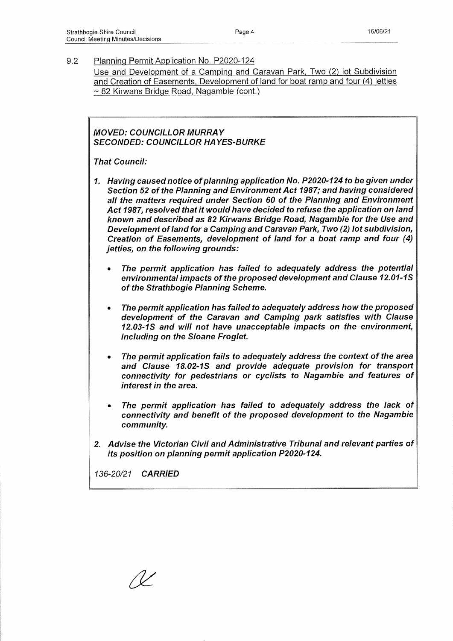Use and Development of a Camping and Caravan Park, Two (2) lot Subdivision and Creation of Easements. Development of land for boat ramp and four (4) jetties ~ 82 Kirwans Bridge Road. Nagambie (cont.)

*MOVED: COUNCILLOR MURRAY SECONDED: COUNCILLOR HAYES-BURKE*

*That Council:*

- *1. Having caused notice of planning application No. P2020-124 to be given under Section 52 of the Planning and Environment Act 1987; and having considered all the matters required under Section 60 of the Planning and Environment Act 1987, resolved that it would have decided to refuse the application on land known and described as 82 Kirwans Bridge Road, Nagambie for the Use and Development of land for a Camping and Caravan Park, Two (2) lot subdivision, Creation of Easements, development of land for a boat ramp and four (4) jetties, on the following grounds:*
	- *The permit application has failed to adequately address the potential environmental impacts of the proposed development and Clause 12.01-1 S of the Strathbogie Planning Scheme.*
	- *The permit application has failed to adequately address how the proposed development of the Caravan and Camping park satisfies with Clause 12.03-1S and will not have unacceptable impacts on the environment, including on the Sloane Froglet.*
	- *The permit application fails to adequately address the context of the area* and Clause 18.02-1S and provide adequate provision for transport *connectivity for pedestrians or cyclists to Nagambie and features of interest in the area.*
	- *The permit application has failed to adequately address the lack of connectivity and benefit of the proposed development to the Nagambie community.*
- *2. Advise the Victorian Civil and Administrative Tribunal and relevant parties of its position on planning permit application P2020-124.*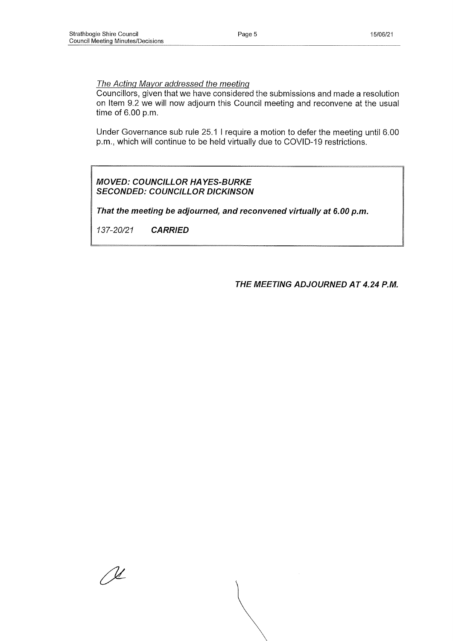#### *The Acting Mayor addressed the meeting*

Councillors, given that we have considered the submissions and made a resolution on Item 9,2 we will now adjourn this Council meeting and reconvene at the usual time of 6.00 p.m.

Under Governance sub rule 25.1 I require a motion to defer the meeting until 6.00 p.m., which will continue to be held virtually due to COVID-19 restrictions.

#### *MOVED: COUNCILLOR HAYES-BURKE SECONDED: COUNCILLOR DICKINSON*

*That the meeting be adjourned, and reconvened virtually at 6.00 p.m.*

*137-20/21 CARRIED*

*THE MEETING ADJOURNED AT 4.24 P.M.*

<u>N</u>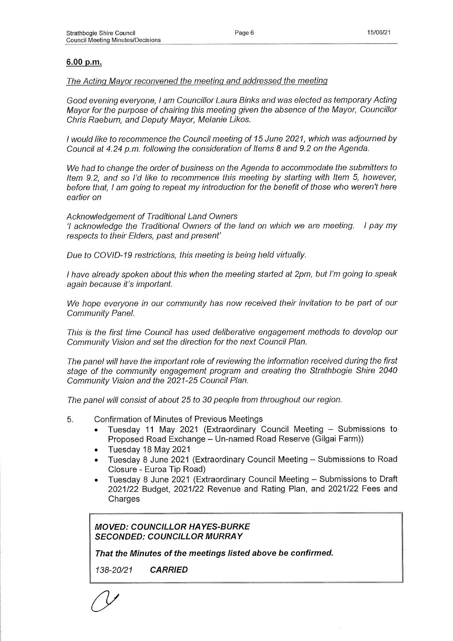## **6.00 p.m.**

#### *The Acting Mayor reconvened the meeting and addressed the meeting*

*Good evening everyone, I am Councillor Laura Binks and was elected as temporary Acting Mayor for the purpose of chairing this meeting given the absence of the Mayor, Councillor Chris Raeburn, and Deputy Mayor, Melanie Likos.*

*I would like to recommence the Council meeting of 15 June 2021, which* was *adjourned by Council at 4.24 p.m. following the consideration of Items 8 and 9.2 on the Agenda.*

*We had to change the order of business on the Agenda to accommodate the submitters to Item 9.2, and so I'd like to recommence this meeting by starting with Item 5, however, before that, I am going to repeat my introduction for the benefit of those who weren't here earlier on*

*Acknowledgement of Traditional Land Owners*

7 *acknowledge the Traditional Owners of the land on which we are meeting. I pay my respects to their Elders, past and present'*

*Due to COVID-19 restrictions, this meeting is being held virtually.*

*I have already spoken about this when the meeting started at 2pm, but I'm going to speak again because it's important.*

*We hope everyone in our community has now received their invitation to be part of our Community Panel.*

*This is the first time Council has used deliberative engagement methods to develop our Community Vision and set the direction for the next Council Plan.*

*The panel will have the important role of reviewing the information received during the first stage of the community engagement program and creating the Strathbogie Shire 2040 Community Vision and the 2021-25 Council Plan.*

*The panel will consist of about 25 to 30 people from throughout our region.*

- 5. Confirmation of Minutes of Previous Meetings
	- Tuesday 11 May 2021 (Extraordinary Council Meeting Submissions to Proposed Road Exchange - Un-named Road Reserve (Gilgai Farm))
	- Tuesday 18 May 2021
	- Tuesday 8 June 2021 (Extraordinary Council Meeting Submissions to Road Closure - Euroa Tip Road)
	- Tuesday 8 June 2021 (Extraordinary Council Meeting Submissions to Draft 2021/22 Budget, 2021/22 Revenue and Rating Plan, and 2021/22 Fees and Charges

*MOVED: COUNCILLOR HAYES-BURKE SECONDED: COUNCILLOR MURRAY*

*That the Minutes of the meetings listed above be confirmed.*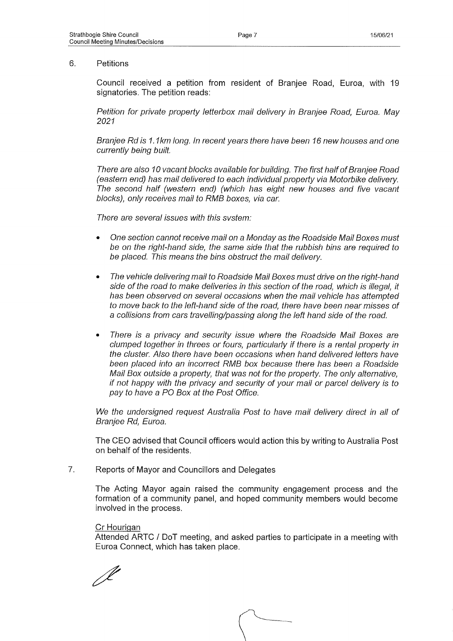#### 6. Petitions

Council received a petition from resident of Branjee Road, Euroa, with 19 signatories. The petition reads:

*Petition for private property letterbox mail delivery in Branjee Road, Euroa. May 2021*

*Branjee Rd is 1.1km long. In recent years there have been 16 new houses and one currently being built.*

*There are also 10 vacant blocks available for building. The first half of Branjee Road (eastern end) has mail delivered to each individual property via Motorbike delivery. The second half (western end) (which has eight new houses and five vacant blocks), only receives mail to RMB boxes, via car.*

*There are several issues with this svstem:*

- *One section cannot receive mail on a Monday as the Roadside Mail Boxes must be on the right-hand side, the same side that the rubbish bins are required to be placed. This means the bins obstruct the mail delivery.*
- *The vehicle delivering mail to Roadside Mail Boxes must drive on the right-hand side of the road to make deliveries in this section of the road, which is illegal, it has been observed on several occasions when the mail vehicle has attempted to move back to the left-hand side of the road, there have been near misses of a collisions from cars travelling/passing along the left hand side of the road.*
- *There is a privacy and security issue where the Roadside Mail Boxes are clumped together in threes or fours, particularly if there is a rental property in the cluster. Also there have been occasions when hand delivered letters have been placed into an incorrect RMB box because there has been a Roadside Mail Box outside a property, that* was *not for the property. The only alternative, if not happy with the privacy and security of your mail or parcel delivery is to pay to have a PO Box at the Post Office.*

*We the undersigned request Australia Post to have mail delivery direct in all of Branjee Rd, Euroa.*

The CEO advised that Council officers would action this by writing to Australia Post on behalf of the residents.

7. Reports of Mayor and Councillors and Delegates

The Acting Mayor again raised the community engagement process and the formation of a community panel, and hoped community members would become involved in the process.

#### Cr Hourigan

Attended ARTC / DoT meeting, and asked parties to participate in a meeting with Euroa Connect, which has taken place.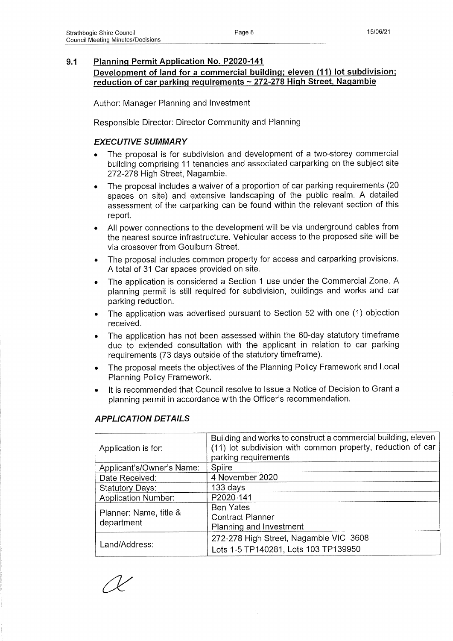**Development of land for a commercial building; eleven (11) lot subdivision; reduction of car parking reguirements ~ 272-278 High Street. Nagambie**

Author: Manager Planning and Investment

Responsible Director: Director Community and Planning

## *EXECUTIVE SUMMARY*

- The proposal is for subdivision and development of a two-storey commercial building comprising 11 tenancies and associated carparking on the subject site 272-278 High Street, Nagambie.
- The proposal includes a waiver of a proportion of car parking requirements (20 spaces on site) and extensive landscaping of the public realm. A detailed assessment of the carparking can be found within the relevant section of this report.
- All power connections to the development will be via underground cables from the nearest source infrastructure. Vehicular access to the proposed site will be via crossover from Goulburn Street.
- The proposal includes common property for access and carparking provisions. A total of 31 Car spaces provided on site.
- The application is considered a Section 1 use under the Commercial Zone. A planning permit is still required for subdivision, buildings and works and car parking reduction.
- The application was advertised pursuant to Section 52 with one (1) objection received.
- The application has not been assessed within the 60-day statutory timeframe due to extended consultation with the applicant in relation to car parking requirements (73 days outside of the statutory timeframe).
- The proposal meets the objectives of the Planning Policy Framework and Local Planning Policy Framework.
- It is recommended that Council resolve to Issue a Notice of Decision to Grant a planning permit in accordance with the Officer's recommendation.

| Application is for:        | Building and works to construct a commercial building, eleven<br>(11) lot subdivision with common property, reduction of car<br>parking requirements |
|----------------------------|------------------------------------------------------------------------------------------------------------------------------------------------------|
| Applicant's/Owner's Name:  | Spiire                                                                                                                                               |
| Date Received:             | 4 November 2020                                                                                                                                      |
| <b>Statutory Days:</b>     | $133$ days                                                                                                                                           |
| <b>Application Number:</b> | P2020-141                                                                                                                                            |
|                            | <b>Ben Yates</b>                                                                                                                                     |
| Planner: Name, title &     | <b>Contract Planner</b>                                                                                                                              |
| department                 | Planning and Investment                                                                                                                              |
|                            | 272-278 High Street, Nagambie VIC 3608                                                                                                               |
| Land/Address:              | Lots 1-5 TP140281, Lots 103 TP139950                                                                                                                 |

## *APPLICATION DETAILS*

*O '*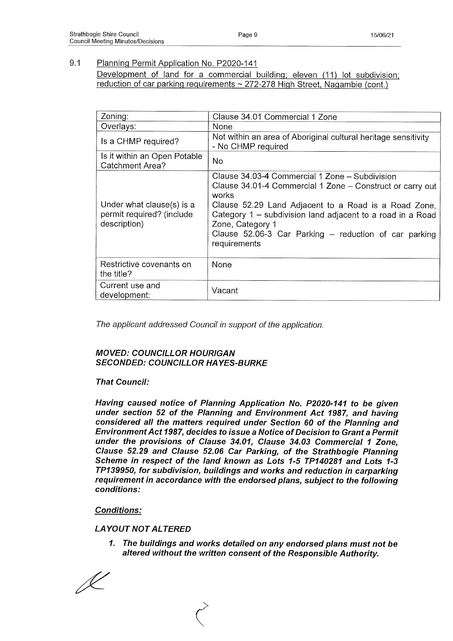Development of land for a commercial building; eleven (11) lot subdivision; reduction of car parking reguirements ~ 272-278 High Street, Nagambie (cont.)

| Zoning:                                                                | Clause 34.01 Commercial 1 Zone                                                                                                                                                                                                                                                                                                            |
|------------------------------------------------------------------------|-------------------------------------------------------------------------------------------------------------------------------------------------------------------------------------------------------------------------------------------------------------------------------------------------------------------------------------------|
| Overlays:                                                              | None                                                                                                                                                                                                                                                                                                                                      |
| Is a CHMP required?                                                    | Not within an area of Aboriginal cultural heritage sensitivity<br>- No CHMP required                                                                                                                                                                                                                                                      |
| Is it within an Open Potable<br><b>Catchment Area?</b>                 | <b>No</b>                                                                                                                                                                                                                                                                                                                                 |
| Under what clause(s) is a<br>permit required? (include<br>description) | Clause 34.03-4 Commercial 1 Zone - Subdivision<br>Clause 34.01-4 Commercial 1 Zone - Construct or carry out<br>works<br>Clause 52.29 Land Adjacent to a Road is a Road Zone,<br>Category 1 - subdivision land adjacent to a road in a Road<br>Zone, Category 1<br>Clause 52.06-3 Car Parking $-$ reduction of car parking<br>requirements |
| Restrictive covenants on<br>the title?                                 | <b>None</b>                                                                                                                                                                                                                                                                                                                               |
| Current use and<br>development:                                        | Vacant                                                                                                                                                                                                                                                                                                                                    |

*The applicant addressed Council in support of the application.*

## *MOVED: COUNCILLOR HOURIGAN SECONDED: COUNCILLOR HAYES-BURKE*

## *That Council:*

*Having caused notice of Planning Application No. P2020-141 to be given under section 52 of the Planning and Environment Act 1987, and having considered all the matters required under Section 60 of the Planning and Environment Act 1987, decides to issue a Notice of Decision to Grant a Permit under the provisions of Clause 34.01, Clause 34.03 Commercial 1 Zone, Clause 52.29 and Clause 52.06 Car Parking, of the Strathbogie Planning Scheme in respect of the land known as Lots 1-5 TP140281 and Lots 1-3 TP139950, for subdivision, buildings and works and reduction in carparking requirement in accordance with the endorsed plans, subject to the following conditions:*

## *Conditions:*

## *LA YOUT NOT ALTERED*

*1. The buildings and works detailed on any endorsed plans must not be altered without the written consent of the Responsible Authority.*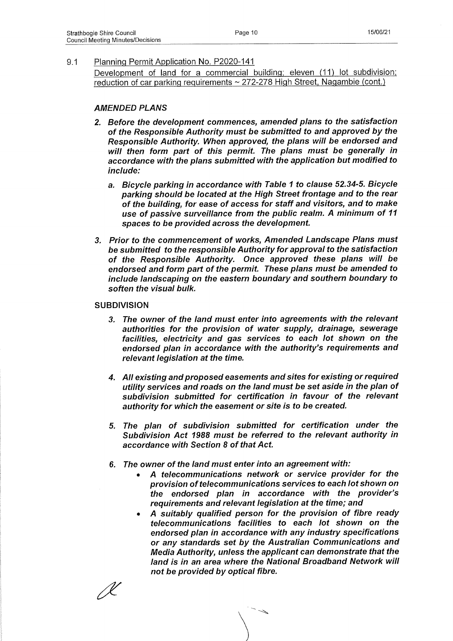Development of land for a commercial building; eleven (11) lot subdivision; reduction of car parking reguirements ~ 272-278 High Street, Nagambie (cont.)

#### *AMENDED PLANS*

- *2. Before the development commences, amended plans to the satisfaction of the Responsible Authority must be submitted to and approved by the Responsible Authority. When approved, the plans will be endorsed and will then form part of this permit. The plans must be generally in accordance with the plans submitted with the application but modified to include:*
	- *а. Bicycle parking in accordance with Table 1 to clause 52.34-5. Bicycle parking should be located at the High Street frontage and to the rear of the building, for ease of access for staff and visitors, and to make use of passive surveillance from the public realm. A minimum of 11 spaces to be provided across the development.*
- *3. Prior to the commencement of works, Amended Landscape Plans must be submitted to the responsible Authority for approval to the satisfaction of the Responsible Authority. Once approved these plans will be endorsed and form part of the permit. These plans must be amended to include landscaping on the eastern boundary and southern boundary to soften the visual bulk.*

#### **SUBDIVISION**

- *3. The owner of the land must enter into agreements with the relevant authorities for the provision of water supply, drainage, sewerage facilities, electricity and gas services to each lot shown on the endorsed plan in accordance with the authority's requirements and relevant legislation at the time.*
- *4. All existing and proposed easements and sites for existing or required utility services and roads on the land must be set aside in the plan of subdivision submitted for certification in favour of the relevant authority for which the easement or site is to be created.*
- *5. The plan of subdivision submitted for certification under the Subdivision Act 1988 must be referred to the relevant authority in accordance with Section 8 of that Act.*
- *б. The owner of the land must enter into an agreement with:*
	- *A telecommunications network or service provider for the provision of telecommunications services to each lot shown on the endorsed plan in accordance with the provider's requirements and relevant legislation at the time; and*
	- *A suitably qualified person for the provision of fibre ready telecommunications facilities to each lot shown on the endorsed plan in accordance with any industry specifications or any standards set by the Australian Communications and Media Authority, unless the applicant can demonstrate that the land is in an area where the National Broadband Network will not be provided by optical fibre.*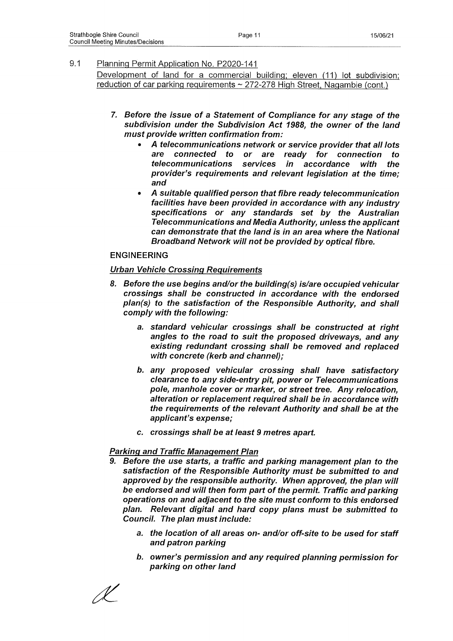Development of land for a commercial building; eleven (11) lot subdivision; reduction of car parking reguirements ~ 272-278 High Street, Nagambie (cont.)

- **7.** *Before the issue of a Statement of Compliance for any stage of the subdivision under the Subdivision Act 1988, the owner of the land must provide written confirmation from:*
	- *A telecommunications network or service provider that all lots are connected to or are ready for connection to telecommunications services in accordance with the provider's requirements and relevant legislation at the time; and*
	- *A suitable qualified person that fibre ready telecommunication facilities have been provided in accordance with any industry specifications or any standards set by the Australian Telecommunications and Media Authority, unless the applicant can demonstrate that the land is in an area where the National Broadband Network will not be provided by optical fibre.*

#### ENGINEERING

#### *Urban Vehicle Crossing Requirements*

- *8. Before the use begins and/or the building(s) is/are occupied vehicular crossings shall be constructed in accordance with the endorsed plan(s) to the satisfaction of the Responsible Authority, and shall comply with the following:*
	- *a. standard vehicular crossings shall be constructed at right angles to the road to suit the proposed driveways, and any existing redundant crossing shall be removed and replaced with concrete (kerb and channel);*
	- *b. any proposed vehicular crossing shall have satisfactory clearance to any side-entry pit, power or Telecommunications pole, manhole cover or marker, or street tree. Any relocation, alteration or replacement required shall be in accordance with the requirements of the relevant Authority and shall be at the applicant's expense;*
	- *c. crossings shall be at least 9 metres apart.*

#### *Parking and Traffic Management Plan*

- *9. Before the use starts, a traffic and parking management plan to the satisfaction of the Responsible Authority must be submitted to and approved by the responsible authority. When approved, the plan will be endorsed and will then form part of the permit. Traffic and parking operations on and adjacent to the site must conform to this endorsed plan. Relevant digital and hard copy plans must be submitted to Council. The plan must include:*
	- *a. the location of all areas on- and/or off-site to be used for staff and patron parking*
	- *b. owner's permission and any required planning permission for parking on other land*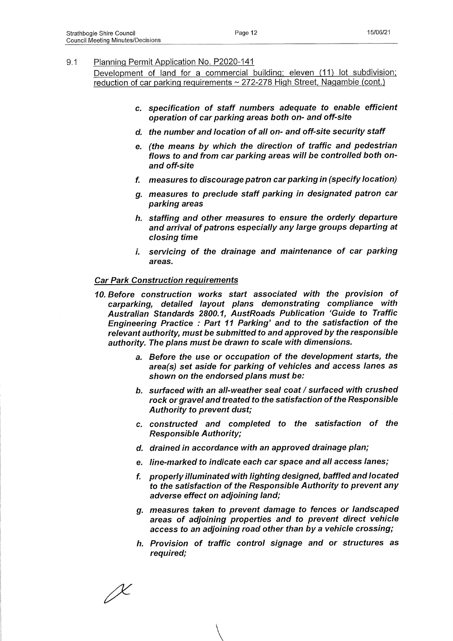Development of land for a commercial building; eleven (11) lot subdivision; reduction of car parking reguirements ~ 272-278 High Street. Nagambie (cont.)

- *c. specification of staff numbers adequate to enable efficient operation of car parking areas both on- and off-site*
- *d. the number and location of all on- and off-site security staff*
- *e. (the means by which the direction of traffic and pedestrian flows to and from car parking areas will be controlled both onand off-site*
- *f. measures to discourage patron car parking in (specify location)*
- *g. measures to preclude staff parking in designated patron car parking areas*
- *h. staffing and other measures to ensure the orderly departure and arrival of patrons especially any large groups departing at closing time*
- *i. servicing of the drainage and maintenance of car parking areas.*

#### *Car Park Construction requirements*

- *10. Before construction works start associated with the provision of carparking, detailed layout plans demonstrating compliance with Australian Standards 2800.1, AustRoads Publication 'Guide to Traffic Engineering Practice : Part 11 Parking' and to the satisfaction of the relevant authority, must be submitted to and approved by the responsible authority. The plans must be drawn to scale with dimensions.*
	- *a. Before the use or occupation of the development starts, the area(s) set aside for parking of vehicles and access lanes as shown on the endorsed plans must be:*
	- *b. surfaced with an all-weather seal coat / surfaced with crushed rock or gravel and treated to the satisfaction of the Responsible Authority to prevent dust;*
	- *c. constructed and completed to the satisfaction of the Responsible Authority;*
	- *d. drained in accordance with an approved drainage plan;*
	- *e. line-marked to indicate each car space and all access lanes;*
	- *f. properly illuminated with lighting designed, baffled and located to the satisfaction of the Responsible Authority to prevent any adverse effect on adjoining land;*
	- *g. measures taken to prevent damage to fences or landscaped areas of adjoining properties and to prevent direct vehicle access to an adjoining road other than by a vehicle crossing;*
	- *h. Provision of traffic control signage and or structures as required;*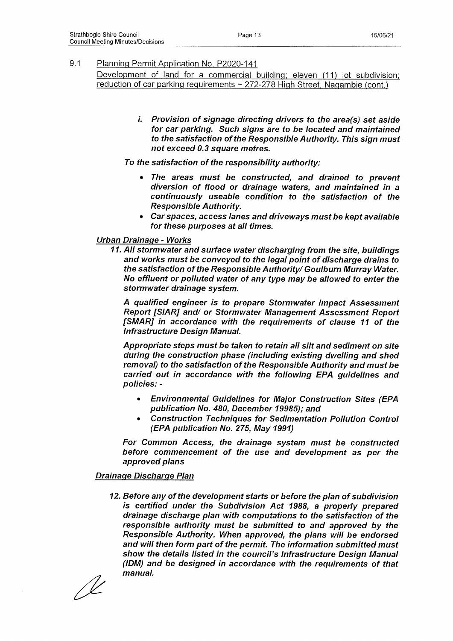Development of land for a commercial building; eleven (11) lot subdivision; reduction of car parking reguirements ~ 272-278 High Street, Nagambie (cont.)

> *Provision of signage directing drivers to the area(s) set aside for car parking. Such signs are to be located and maintained to the satisfaction of the Responsible Authority. This sign must not exceed 0.3 square metres.*

*To the satisfaction of the responsibility authority:*

- *The areas must be constructed, and drained to prevent diversion of flood or drainage waters, and maintained in a continuously useable condition to the satisfaction of the Responsible Authority.*
- *Car spaces, access lanes and driveways must be kept available for these purposes at all times.*

#### *Urban Drainage* **-** *Works*

*11. All stormwater and surface water discharging from the site, buildings and works must be conveyed to the legal point of discharge drains to* the satisfaction of the Responsible Authority/ Goulburn Murray Water. *No effluent or polluted water of any type may be allowed to enter the stormwater drainage system.*

*A qualified engineer is to prepare Stormwater Impact Assessment Report [SIAR] and/ or Stormwater Management Assessment Report [SMAR] in accordance with the requirements of clause 11 of the Infrastructure Design Manual.*

*Appropriate steps must be taken to retain all silt and sediment on site during the construction phase (including existing dwelling and shed removal) to the satisfaction of the Responsible Authority and must be carried out in accordance with the following EPA guidelines and policies: -*

- *Environmental Guidelines for Major Construction Sites (EPA publication No. 480, December 19985); and*
- *Construction Techniques for Sedimentation Pollution Control (EPA publication No. 275, May 1991)*

*For Common Access, the drainage system must be constructed before commencement of the use and development as per the approved plans*

## *Drainage Discharge Plan*

*12. Before any of the development starts or before the plan of subdivision is certified under the Subdivision Act 1988, a properly prepared drainage discharge plan with computations to the satisfaction of the responsible authority must be submitted to and approved by the Responsible Authority. When approved, the plans will be endorsed and will then form part of the permit. The information submitted must show the details listed in the council's Infrastructure Design Manual (IDM) and be designed in accordance with the requirements of that* **^** *manual.*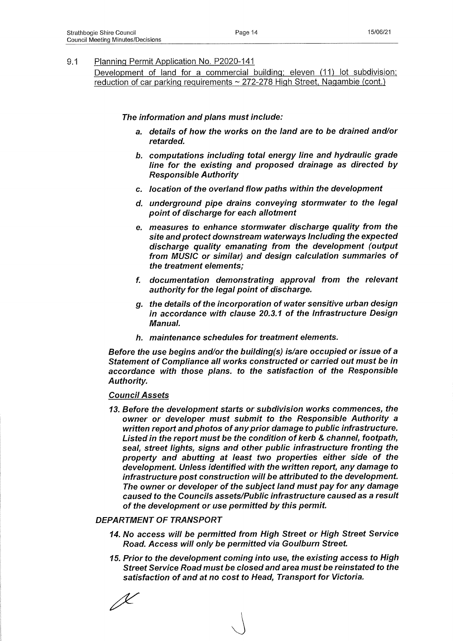Development of land for a commercial building; eleven (11) lot subdivision; reduction of car parking reguirements ~ 272-278 High Street. Nagambie (cont.)

*The information and plans must include:*

- *a. details of how the works on the land are to be drained and/or retarded.*
- *b. computations including total energy line and hydraulic grade line for the existing and proposed drainage as directed by Responsible Authority*
- *c. location of the overland flow paths within the development*
- *d. underground pipe drains conveying stormwater to the legal point of discharge for each allotment*
- *e. measures to enhance stormwater discharge quality from the site and protect downstream waterways Including the expected discharge quality emanating from the development (output from MUSIC or similar) and design calculation summaries of the treatment elements;*
- *f. documentation demonstrating approval from the relevant authority for the legal point of discharge.*
- *g. the details of the incorporation of water sensitive urban design in accordance with clause 20.3.1 of the Infrastructure Design Manual.*
- *h. maintenance schedules for treatment elements.*

*Before the use begins and/or the building(s) is/are occupied or issue of a Statement of Compliance all works constructed or carried out must be in accordance with those plans, to the satisfaction of the Responsible Authority.*

#### *Council Assets*

*13. Before the development starts or subdivision works commences, the owner or developer must submit to the Responsible Authority a written report and photos of any prior damage to public infrastructure. Listed in the report must be the condition of kerb & channel, footpath, seal, street lights, signs and other public infrastructure fronting the property and abutting at least two properties either side of the development. Unless identified with the written report, any damage to infrastructure post construction will be attributed to the development. The owner or developer of the subject land must pay for any damage caused to the Councils assets/Public infrastructure caused as a result of the development or use permitted by this permit.*

#### *DEPARTMENT OF TRANSPORT*

- *14. No access will be permitted from High Street or High Street Service Road. Access will only be permitted via Goulburn Street.*
- *15. Prior to the development coming into use, the existing access to High Street Service Road must be closed and area must be reinstated to the satisfaction of and at no cost to Head, Transport for Victoria.*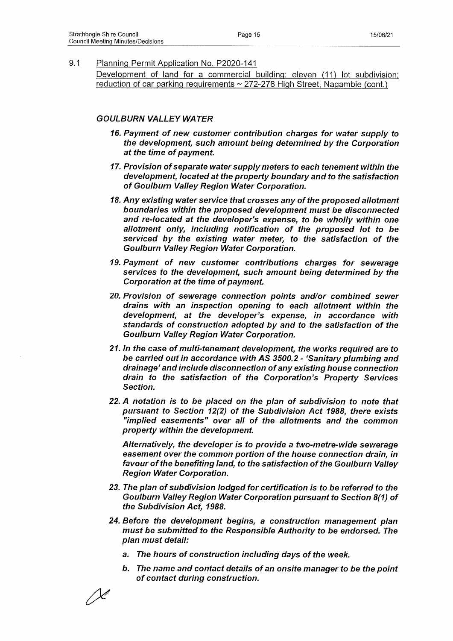Development of land for a commercial building; eleven (11) lot subdivision; reduction of car parking reguirements ~ 272-278 High Street, Nagambie (cont.)

#### *GOULBURN VALLEY WATER*

- *16. Payment of new customer contribution charges for water supply to the development, such amount being determined by the Corporation at the time of payment.*
- *17. Provision of separate water supply meters to each tenement within the development, located at the property boundary and to the satisfaction of Goulburn Valley Region Water Corporation.*
- *18. Any existing water service that crosses any of the proposed allotment boundaries within the proposed development must be disconnected and re-located at the developer's expense, to be wholly within one allotment only, including notification of the proposed lot to be serviced by the existing water meter, to the satisfaction of the Goulburn Valley Region Water Corporation.*
- *19. Payment of new customer contributions charges for sewerage services to the development, such amount being determined by the Corporation at the time of payment.*
- *20. Provision of sewerage connection points and/or combined sewer drains with an inspection opening to each allotment within the development, at the developer's expense, in accordance with standards of construction adopted by and to the satisfaction of the Goulburn Valley Region Water Corporation.*
- *21. In the case of multi-tenement development, the works required are to be carried out in accordance with AS 3500.2 - 'Sanitary plumbing and drainage' and include disconnection of any existing house connection drain to the satisfaction of the Corporation's Property Services Section.*
- *22. A notation is to be placed on the plan of subdivision to note that pursuant to Section 12(2) of the Subdivision Act 1988, there exists "implied easements" over all of the allotments and the common property within the development.*

*Alternatively, the developer is to provide a two-metre-wide sewerage easement over the common portion of the house connection drain, in favour of the benefiting land, to the satisfaction of the Goulburn Valley Region Water Corporation.*

- *23. The plan of subdivision lodged for certification is to be referred to the Goulburn Valley Region Water Corporation pursuant to Section 8(1) of the Subdivision Act, 1988.*
- *24. Before the development begins, a construction management plan must be submitted to the Responsible Authority to be endorsed. The plan must detail:*
	- *a. The hours of construction including days of the week.*
	- *b. The name and contact details of an onsite manager to be the point of contact during construction.*

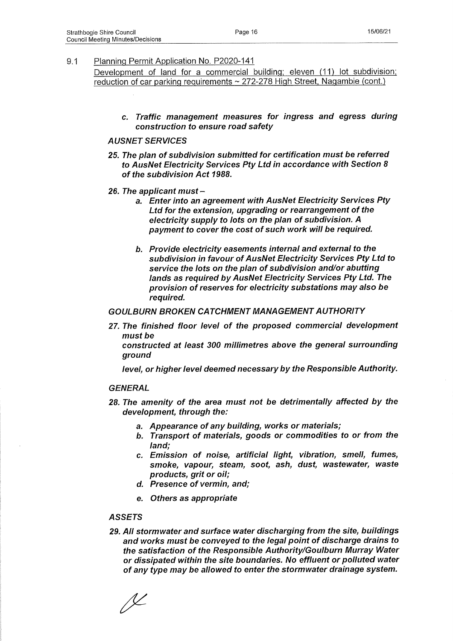Development of land for a commercial building; eleven (11) lot subdivision; reduction of car parking requirements ~ 272-278 High Street, Nagambie (cont.)

**c.** *Traffic management measures for ingress and egress during construction to ensure road safety*

#### *AUSNET SERVICES*

- *25. The plan of subdivision submitted for certification must be referred to AusNet Electricity Services Pty Ltd in accordance with Section 8 of the subdivision Act 1988.*
- *26. The applicant must* 
	- *a. Enter into an agreement with AusNet Electricity Services Pty Ltd for the extension, upgrading or rearrangement of the electricity supply to lots on the plan of subdivision. A payment to cover the cost of such work will be required.*
	- *b. Provide electricity easements internal and external to the subdivision in favour of AusNet Electricity Services Pty Ltd to service the lots on the plan of subdivision and/or abutting lands as required by AusNet Electricity Services Pty Ltd. The provision of reserves for electricity substations may also be required.*

#### *GOULBURN BROKEN CATCHMENT MANAGEMENT AUTHORITY*

*27. The finished floor level of the proposed commercial development must be*

*constructed at least 300 millimetres above the general surrounding ground*

*level, or higher level deemed necessary by the Responsible Authority.*

#### *GENERAL*

- *28. The amenity of the area must not be detrimentally affected by the development, through the:*
	- *a. Appearance of any building, works or materials;*
	- *b. Transport of materials, goods or commodities to or from the land;*
	- *c. Emission of noise, artificial light, vibration, smell, fumes, smoke, vapour, steam, soot, ash, dust, wastewater, waste products, grit or oil;*
	- *d. Presence of vermin, and;*
	- *e. Others as appropriate*

#### *ASSETS*

*29. All stormwater and surface water discharging from the site, buildings and works must be conveyed to the legal point of discharge drains to the satisfaction of the Responsible Authority/Goulburn Murray Water or dissipated within the site boundaries. No effluent or polluted water of any type may be allowed to enter the stormwater drainage system.*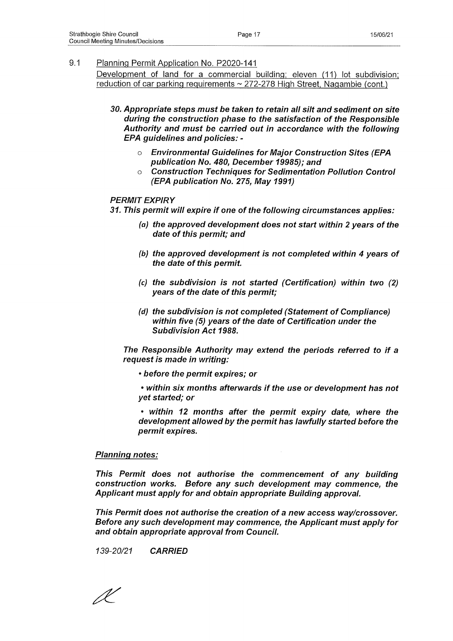Development of land for a commercial building; eleven (11) lot subdivision; reduction of car parking reguirements ~ 272-278 High Street. Nagambie (cont.)

- *30. Appropriate steps must be taken to retain all silt and sediment on site during the construction phase to the satisfaction of the Responsible Authority and must be carried out in accordance with the following EPA guidelines and policies:* 
	- *o Environmental Guidelines for Major Construction Sites (EPA publication No. 480, December 19985); and*
	- *o Construction Techniques for Sedimentation Pollution Control (EPA publication No. 275, May 1991)*

#### *PERMIT EXPIRY*

*31. This permit will expire if one of the following circumstances applies:*

- *(a) the approved development does not start within 2 years of the date of this permit; and*
- *(b) the approved development is not completed within 4 years of the date of this permit.*
- *(c) the subdivision is not started (Certification) within two (2) years of the date of this permit;*
- *(d) the subdivision is not completed (Statement of Compliance) within five (5) years of the date of Certification under the Subdivision Act 1988.*

*The Responsible Authority may extend the periods referred to if a request is made in writing:*

**•** *before the permit expires; or*

*• within six months afterwards if the use or development has not yet started; or*

*• within 12 months after the permit expiry date, where the development allowed by the permit has lawfully started before the permit expires.*

#### *Planning notes:*

*This Permit does not authorise the commencement of any building construction works. Before any such development may commence, the Applicant must apply for and obtain appropriate Building approval.*

*This Permit does not authorise the creation of a new access way/crossover. Before any such development may commence, the Applicant must apply for and obtain appropriate approval from Council.*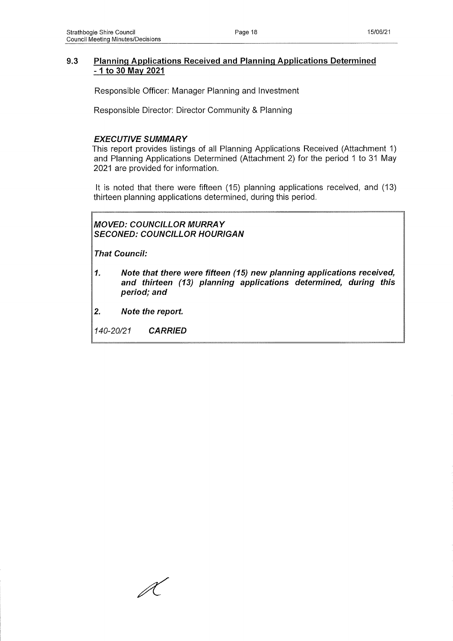## **9.3 Planning Applications Received and Planning Applications Determined -1 to 30 May 2021**

Responsible Officer: Manager Planning and Investment

Responsible Director: Director Community & Planning

## *EXECUTIVE SUMMARY*

This report provides listings of all Planning Applications Received (Attachment 1) and Planning Applications Determined (Attachment 2) for the period 1 to 31 May 2021 are provided for information.

It is noted that there were fifteen (15) planning applications received, and (13) thirteen planning applications determined, during this period.

*MOVED: COUNCILLOR MURRAY SECONED: COUNCILLOR HOURIGAN*

*That Council:*

- *1. Note that there were fifteen (15) new planning applications received, and thirteen (13) planning applications determined, during this period; and*
- *2. Note the report.*

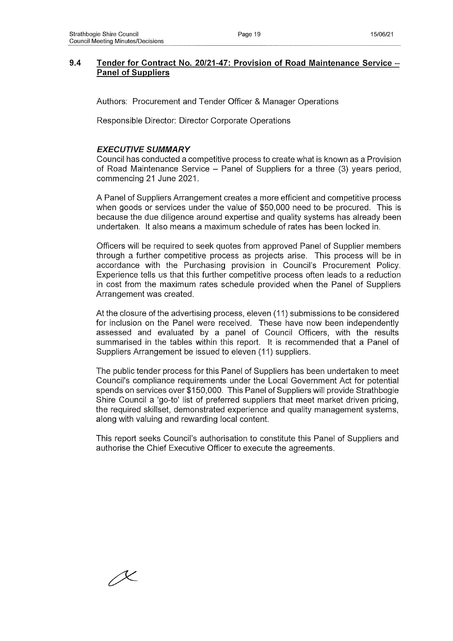## **9.4 Tender for Contract No. 20/21-47: Provision of Road Maintenance Service - Panel of Suppliers**

Authors: Procurement and Tender Officer & Manager Operations

Responsible Director: Director Corporate Operations

## *EXECUTIVE SUMMARY*

Council has conducted a competitive process to create what is known as a Provision of Road Maintenance Service  $-$  Panel of Suppliers for a three (3) years period, commencing 21 June 2021.

A Panel of Suppliers Arrangement creates a more efficient and competitive process when goods or services under the value of \$50,000 need to be procured. This is because the due diligence around expertise and quality systems has already been undertaken. It also means a maximum schedule of rates has been locked in.

Officers will be required to seek quotes from approved Panel of Supplier members through a further competitive process as projects arise. This process will be in accordance with the Purchasing provision in Council's Procurement Policy. Experience tells us that this further competitive process often leads to a reduction in cost from the maximum rates schedule provided when the Panel of Suppliers Arrangement was created.

At the closure of the advertising process, eleven (11) submissions to be considered for inclusion on the Panel were received. These have now been independently assessed and evaluated by a panel of Council Officers, with the results summarised in the tables within this report. It is recommended that a Panel of Suppliers Arrangement be issued to eleven (11) suppliers.

The public tender process for this Panel of Suppliers has been undertaken to meet Council's compliance requirements under the Local Government Act for potential spends on services over \$150,000. This Panel of Suppliers will provide Strathbogie Shire Council a 'go-to' list of preferred suppliers that meet market driven pricing, the required skillset, demonstrated experience and quality management systems, along with valuing and rewarding local content.

This report seeks Council's authorisation to constitute this Panel of Suppliers and authorise the Chief Executive Officer to execute the agreements.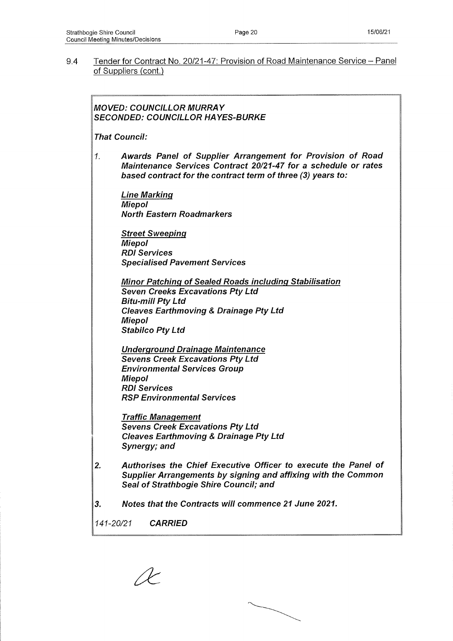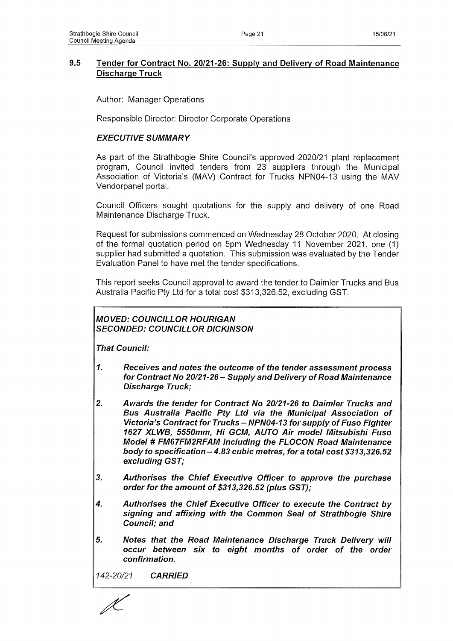## **9.5 Tender for Contract No. 20/21-26: Supply and Delivery of Road Maintenance Discharge Truck**

Author: Manager Operations

Responsible Director: Director Corporate Operations

## *EXECUTIVE SUMMARY*

As part of the Strathbogie Shire Council's approved 2020/21 plant replacement program, Council invited tenders from 23 suppliers through the Municipal Association of Victoria's (MAV) Contract for Trucks NPN04-13 using the MAV Vendorpanel portal.

Council Officers sought quotations for the supply and delivery of one Road Maintenance Discharge Truck.

Request for submissions commenced on Wednesday 28 October 2020. At closing of the formal quotation period on 5pm Wednesday 11 November 2021, one (1) supplier had submitted a quotation. This submission was evaluated by the Tender Evaluation Panel to have met the tender specifications.

This report seeks Council approval to award the tender to Daimler Trucks and Bus Australia Pacific Pty Ltd for a total cost \$313,326.52, excluding GST.

## *MOVED: COUNCILLOR HOURIGAN SECONDED: COUNCILLOR DICKINSON*

*That Council:*

- *1. Receives and notes the outcome of the tender assessment process for Contract No 20/21-26 - Supply and Delivery of Road Maintenance Discharge Truck;*
- *2. Awards the tender for Contract No 20/21-26 to Daimler Trucks and Bus Australia Pacific Pty Ltd via the Municipal Association of Victoria's Contract for Trucks - NPN04-13 for supply of Fuso Fighter 1627 XLWB, 5550mm, Hi GCM, AUTO Air model Mitsubishi Fuso Model* **#** *FM67FM2RFAM including the FLOCON Road Maintenance body to specification - 4.83 cubic metres, for a total cost \$313,326.52 excluding GST;*
- *3. Authorises the Chief Executive Officer to approve the purchase order for the amount of \$313,326.52 (plus GST);*
- *4. Authorises the Chief Executive Officer to execute the Contract by signing and affixing with the Common Seal of Strathbogie Shire Council; and*
- *5. Notes that the Road Maintenance Discharge Truck Delivery will occur between six to eight months of order of the order confirmation.*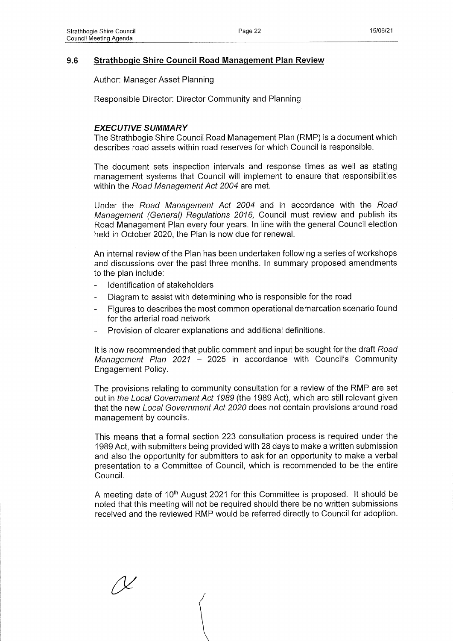## **9.6 Strathbogie Shire Council Road Management Plan Review**

Author: Manager Asset Planning

Responsible Director: Director Community and Planning

## *EXECUTIVE SUMMARY*

The Strathbogie Shire Council Road Management Plan (RMP) is a document which describes road assets within road reserves for which Council is responsible.

The document sets inspection intervals and response times as well as stating management systems that Council will implement to ensure that responsibilities within the *Road Management Act 2004* are met.

Under the *Road Management Act 2004* and in accordance with the *Road Management (General) Regulations 2016,* Council must review and publish its Road Management Plan every four years. In line with the general Council election held in October 2020, the Plan is now due for renewal.

An internal review of the Plan has been undertaken following a series of workshops and discussions over the past three months. In summary proposed amendments to the plan include:

- Identification of stakeholders
- Diagram to assist with determining who is responsible for the road
- Figures to describes the most common operational demarcation scenario found for the arterial road network
- Provision of clearer explanations and additional definitions.

It is now recommended that public comment and input be sought for the draft *Road Management Plan 2021 -* 2025 in accordance with Council's Community Engagement Policy.

The provisions relating to community consultation for a review of the RMP are set out in *the Local Government Act 1989* (the 1989 Act), which are still relevant given that the new *Local Government Act 2020* does not contain provisions around road management by councils.

This means that a formal section 223 consultation process is required under the 1989 Act, with submitters being provided with 28 days to make a written submission and also the opportunity for submitters to ask for an opportunity to make a verbal presentation to a Committee of Council, which is recommended to be the entire Council.

A meeting date of 10<sup>th</sup> August 2021 for this Committee is proposed. It should be noted that this meeting will not be required should there be no written submissions received and the reviewed RMP would be referred directly to Council for adoption.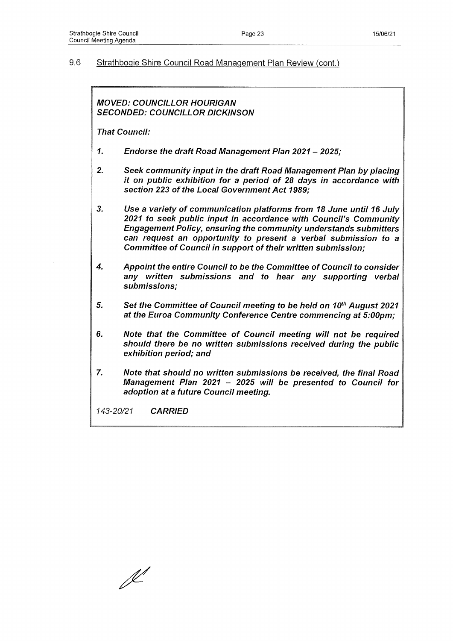#### 9.6 Strathbogie Shire Council Road Management Plan Review (cont.)

*MOVED: COUNCILLOR HOURIGAN SECONDED: COUNCILLOR DICKINSON*

*That Council:*

- *1. Endorse the draft Road Management Plan 2021 2025;*
- *2. Seek community input in the draft Road Management Plan by placing it on public exhibition for a period of 28 days in accordance with section 223 of the Local Government Act 1989;*
- *3. Use a variety of communication platforms from 18 June until 16 July 2021 to seek public input in accordance with Council's Community Engagement Policy, ensuring the community understands submitters can request an opportunity to present a verbal submission to a Committee of Council in support of their written submission;*
- *4. Appoint the entire Council to be the Committee of Council to consider any written submissions and to hear any supporting verbal submissions;*
- *5. Set the Committee of Council meeting to be held on 10th August 2021 at the Euroa Community Conference Centre commencing at 5:00pm;*
- *6. Note that the Committee of Council meeting will not be required should there be no written submissions received during the public exhibition period; and*
- *7. Note that should no written submissions be received, the final Road Management Plan 2021 - 2025 will be presented to Council for adoption at a future Council meeting.*

 $\mathbb{X}^{\prime}$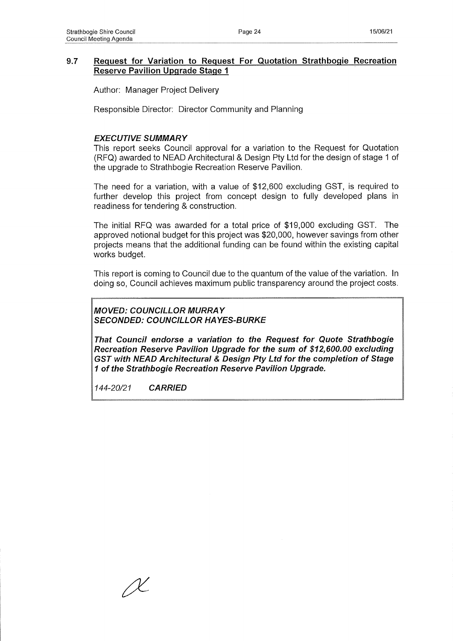## **9.7 Request for Variation to Request For Quotation Strathbogie Recreation Reserve Pavilion Upgrade Stage 1**

Author: Manager Project Delivery

Responsible Director: Director Community and Planning

## *EXECUTIVE SUMMARY*

This report seeks Council approval for a variation to the Request for Quotation (RFQ) awarded to NEAD Architectural & Design Pty Ltd for the design of stage 1 of the upgrade to Strathbogie Recreation Reserve Pavilion.

The need for a variation, with a value of \$12,600 excluding GST, is required to further develop this project from concept design to fully developed plans in readiness for tendering & construction.

The initial RFQ was awarded for a total price of \$19,000 excluding GST. The approved notional budget for this project was \$20,000, however savings from other projects means that the additional funding can be found within the existing capital works budget.

This report is coming to Council due to the quantum of the value of the variation. In doing so, Council achieves maximum public transparency around the project costs.

*MOVED: COUNCILLOR MURRAY SECONDED: COUNCILLOR HAYES-BURKE*

*That Council endorse a variation to the Request for Quote Strathbogie Recreation Reserve Pavilion Upgrade for the sum of \$12,600.00 excluding GST with NEAD Architectural & Design Pty Ltd for the completion of Stage 1 of the Strathbogie Recreation Reserve Pavilion Upgrade.*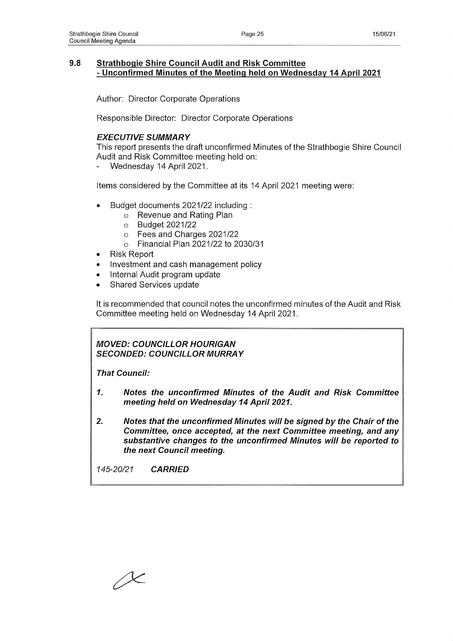## **9.8 Strathbogie Shire Council Audit and Risk Committee - Unconfirmed Minutes of the Meeting held on Wednesday 14 April 2021**

Author: Director Corporate Operations

Responsible Director: Director Corporate Operations

## *EXECUTIVE SUMMARY*

This report presents the draft unconfirmed Minutes of the Strathbogie Shire Council Audit and Risk Committee meeting held on:

Wednesday 14 April 2021.

Items considered by the Committee at its 14 April 2021 meeting were:

- Budget documents 2021/22 including :
	- **o** Revenue and Rating Plan
	- **o** Budget 2021/22
	- **o** Fees and Charges 2021/22
	- **o** Financial Plan 2021/22 to 2030/31
- Risk Report
- Investment and cash management policy
- Internal Audit program update
- Shared Services update

It is recommended that council notes the unconfirmed minutes of the Audit and Risk Committee meeting held on Wednesday 14 April 2021.

*MOVED: COUNCILLOR HOURIGAN SECONDED: COUNCILLOR MURRAY*

*That Council:*

- *1. Notes the unconfirmed Minutes of the Audit and Risk Committee meeting held on Wednesday 14 April 2021.*
- *2. Notes that the unconfirmed Minutes will be signed by the Chair of the Committee, once accepted, at the next Committee meeting, and any substantive changes to the unconfirmed Minutes will be reported to the next Council meeting.*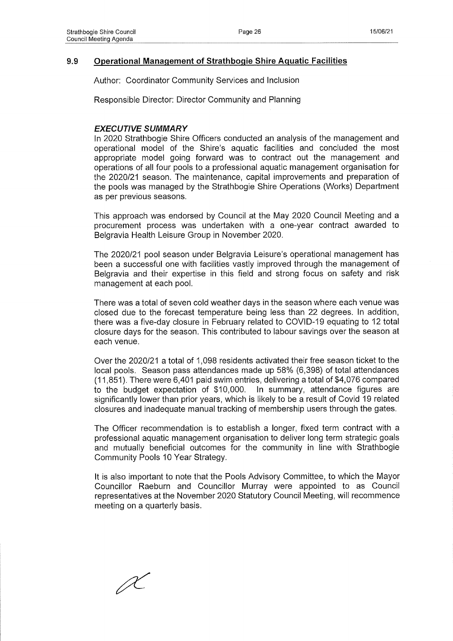## **9.9 Operational Management of Strathbogie Shire Aquatic Facilities**

Author: Coordinator Community Services and Inclusion

Responsible Director: Director Community and Planning

#### *EXECUTIVE SUMMARY*

In 2020 Strathbogie Shire Officers conducted an analysis of the management and operational model of the Shire's aquatic facilities and concluded the most appropriate model going forward was to contract out the management and operations of all four pools to a professional aquatic management organisation for the 2020/21 season. The maintenance, capital improvements and preparation of the pools was managed by the Strathbogie Shire Operations (Works) Department as per previous seasons.

This approach was endorsed by Council at the May 2020 Council Meeting and a procurement process was undertaken with a one-year contract awarded to Belgravia Health Leisure Group in November 2020.

The 2020/21 pool season under Belgravia Leisure's operational management has been a successful one with facilities vastly improved through the management of Belgravia and their expertise in this field and strong focus on safety and risk management at each pool.

There was a total of seven cold weather days in the season where each venue was closed due to the forecast temperature being less than 22 degrees. In addition, there was a five-day closure in February related to COVID-19 equating to 12 total closure days for the season. This contributed to labour savings over the season at each venue.

Over the 2020/21 a total of 1,098 residents activated their free season ticket to the local pools. Season pass attendances made up 58% (6,398) of total attendances (11,851). There were 6,401 paid swim entries, delivering a total of \$4,076 compared to the budget expectation of \$10,000. In summary, attendance figures are significantly lower than prior years, which is likely to be a result of Covid 19 related closures and inadequate manual tracking of membership users through the gates.

The Officer recommendation is to establish a longer, fixed term contract with a professional aquatic management organisation to deliver long term strategic goals and mutually beneficial outcomes for the community in line with Strathbogie Community Pools 10 Year Strategy.

It is also important to note that the Pools Advisory Committee, to which the Mayor Councillor Raeburn and Councillor Murray were appointed to as Council representatives at the November 2020 Statutory Council Meeting, will recommence meeting on a quarterly basis.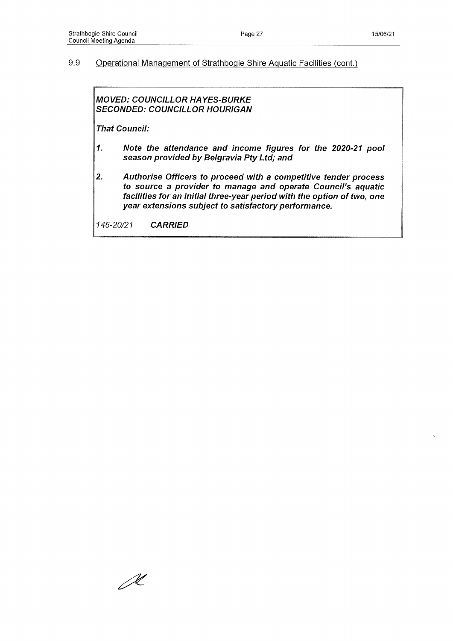## 9.9 Operational Management of Strathbogie Shire Aquatic Facilities (cont.)

## *MOVED: COUNCILLOR HAYES-BURKE SECONDED: COUNCILLOR HOURIGAN*

*That Council:*

- *1. Note the attendance and income figures for the 2020-21 pool season provided by Belgravia Pty Ltd; and*
- *2. Authorise Officers to proceed with a competitive tender process to source a provider to manage and operate Council's aquatic facilities for an initial three-year period with the option of two, one year extensions subject to satisfactory performance.*

 $\mathscr{R}$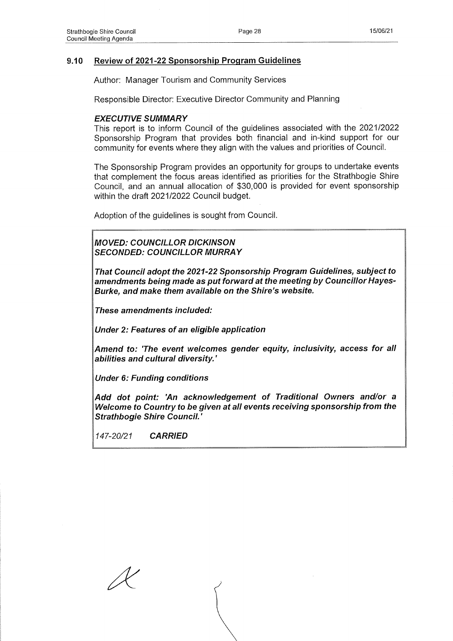## **9.10 Review of 2021-22 Sponsorship Program Guidelines**

Author: Manager Tourism and Community Services

Responsible Director: Executive Director Community and Planning

#### *EXECUTIVE SUMMARY*

This report is to inform Council of the guidelines associated with the 2021/2022 Sponsorship Program that provides both financial and in-kind support for our community for events where they align with the values and priorities of Council.

The Sponsorship Program provides an opportunity for groups to undertake events that complement the focus areas identified as priorities for the Strathbogie Shire Council, and an annual allocation of \$30,000 is provided for event sponsorship within the draft 2021/2022 Council budget.

Adoption of the guidelines is sought from Council.

*MOVED: COUNCILLOR DICKINSON SECONDED: COUNCILLOR MURRAY*

*That Council adopt the 2021-22 Sponsorship Program Guidelines, subject to amendments being made as put forward at the meeting by Councillor Hayes-Burke, and make them available on the Shire's website.*

*These amendments included:*

*Under 2: Features of an eligible application*

*Amend to: 'The event welcomes gender equity, inclusivity, access for all abilities and cultural diversity.'*

*Under 6: Funding conditions*

*Add dot point: 'An acknowledgement of Traditional Owners and/or a Welcome to Country to be given at all events receiving sponsorship from the Strathbogie Shire Council.'*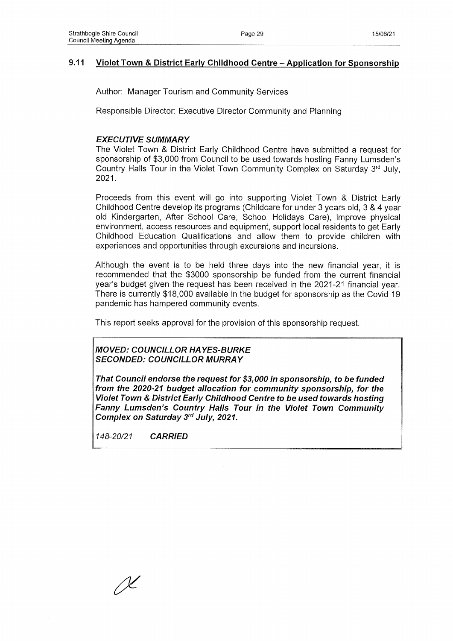## **9.11 Violet Town & District Early Childhood Centre - Application for Sponsorship**

Author: Manager Tourism and Community Services

Responsible Director: Executive Director Community and Planning

## *EXECUTIVE SUMMARY*

The Violet Town & District Early Childhood Centre have submitted a request for sponsorship of \$3,000 from Council to be used towards hosting Fanny Lumsden's Country Halls Tour in the Violet Town Community Complex on Saturday  $3<sup>rd</sup>$  July, 2021**.**

Proceeds from this event will go into supporting Violet Town & District Early Childhood Centre develop its programs (Childcare for under 3 years old, 3 & 4 year old Kindergarten, After School Care, School Holidays Care), improve physical environment, access resources and equipment, support local residents to get Early Childhood Education Qualifications and allow them to provide children with experiences and opportunities through excursions and incursions.

Although the event is to be held three days into the new financial year, it is recommended that the \$3000 sponsorship be funded from the current financial year's budget given the request has been received in the 2021-21 financial year. There is currently \$18,000 available in the budget for sponsorship as the Covid 19 pandemic has hampered community events.

This report seeks approval for the provision of this sponsorship request.

*MOVED: COUNCILLOR HAYES-BURKE SECONDED: COUNCILLOR MURRAY*

*That Council endorse the request for \$3,000 in sponsorship, to be funded from the 2020-21 budget allocation for community sponsorship, for the Violet Town & District Early Childhood Centre to be used towards hosting Fanny Lumsden's Country Halls Tour in the Violet Town Community Complex on Saturday 3rd July, 2021.*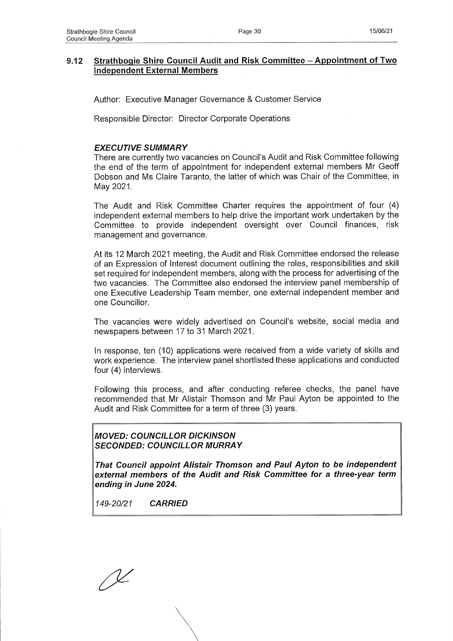## **9.12 Strathbogie Shire Council Audit and Risk Committee - Appointment of Two Independent External Members**

Author: Executive Manager Governance & Customer Service

Responsible Director: Director Corporate Operations

## *EXECUTIVE SUMMARY*

There are currently two vacancies on Council's Audit and Risk Committee following the end of the term of appointment for independent external members Mr Geoff Dobson and Ms Claire Taranto, the latter of which was Chair of the Committee, in May 2021.

The Audit and Risk Committee Charter requires the appointment of four (4) independent external members to help drive the important work undertaken by the Committee to provide independent oversight over Council finances, risk management and governance.

At its 12 March 2021 meeting, the Audit and Risk Committee endorsed the release of an Expression of Interest document outlining the roles, responsibilities and skill set required for independent members, along with the process for advertising of the two vacancies. The Committee also endorsed the interview panel membership of one Executive Leadership Team member, one external independent member and one Councillor.

The vacancies were widely advertised on Council's website, social media and newspapers between 17 to 31 March 2021.

In response, ten (10) applications were received from a wide variety of skills and work experience. The interview panel shortlisted these applications and conducted four (4) interviews.

Following this process, and after conducting referee checks, the panel have recommended that Mr Alistair Thomson and Mr Paul Ayton be appointed to the Audit and Risk Committee for a term of three (3) years.

*MOVED: COUNCILLOR DICKINSON SECONDED: COUNCILLOR MURRAY*

*That Council appoint Alistair Thomson and Paul Ayton to be independent external members of the Audit and Risk Committee for a three-year term ending in June 2024.*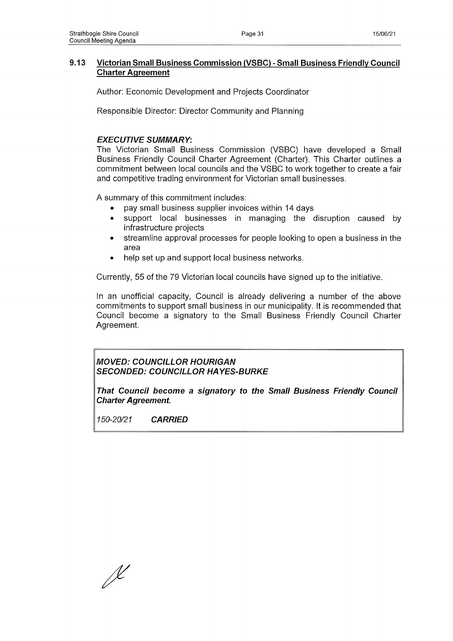## **9.13 Victorian Small Business Commission (VSBC) - Small Business Friendly Council Charter Agreement**

Author: Economic Development and Projects Coordinator

Responsible Director: Director Community and Planning

## *EXECUTIVE SUMMARY:*

The Victorian Small Business Commission (VSBC) have developed a Small Business Friendly Council Charter Agreement (Charter). This Charter outlines a commitment between local councils and the VSBC to work together to create a fair and competitive trading environment for Victorian small businesses.

A summary of this commitment includes:

- pay small business supplier invoices within 14 days
- support local businesses in managing the disruption caused by infrastructure projects
- streamline approval processes for people looking to open a business in the area
- help set up and support local business networks.

Currently, 55 of the 79 Victorian local councils have signed up to the initiative.

In an unofficial capacity, Council is already delivering a number of the above commitments to support small business in our municipality. It is recommended that Council become a signatory to the Small Business Friendly Council Charter Agreement.

*MOVED: COUNCILLOR HOURIGAN SECONDED: COUNCILLOR HAYES-BURKE*

*That Council become a signatory to the Small Business Friendly Council Charter Agreement.*

J<br>L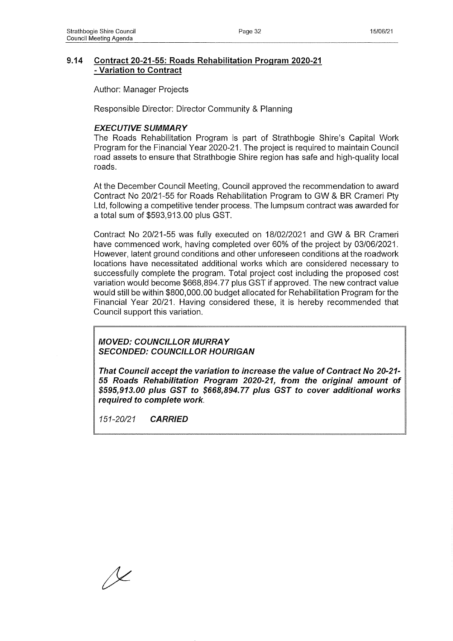## **9.14 Contract 20-21-55: Roads Rehabilitation Program 2020-21 - Variation to Contract**

Author: Manager Projects

Responsible Director: Director Community & Planning

#### *EXECUTIVE SUMMARY*

The Roads Rehabilitation Program is part of Strathbogie Shire's Capital Work Program for the Financial Year 2020-21. The project is required to maintain Council road assets to ensure that Strathbogie Shire region has safe and high-quality local roads.

At the December Council Meeting, Council approved the recommendation to award Contract No 20/21-55 for Roads Rehabilitation Program to GW & BR Crameri Pty Ltd, following a competitive tender process. The lumpsum contract was awarded for a total sum of \$593,913.00 plus GST.

Contract No 20/21-55 was fully executed on 18/02/2021 and GW & BR Crameri have commenced work, having completed over 60% of the project by 03/06/2021. However, latent ground conditions and other unforeseen conditions at the roadwork locations have necessitated additional works which are considered necessary to successfully complete the program. Total project cost including the proposed cost variation would become \$668,894.77 plus GST if approved. The new contract value would still be within \$800,000.00 budget allocated for Rehabilitation Program for the Financial Year 20/21. Having considered these, it is hereby recommended that Council support this variation.

*MOVED: COUNCILLOR MURRAY SECONDED: COUNCILLOR HOURIGAN*

*That Council accept the variation to increase the value of Contract No 20-21 55 Roads Rehabilitation Program 2020-21, from the original amount of \$595,913.00 plus GST to \$668,894.77 plus GST to cover additional works required to complete work.*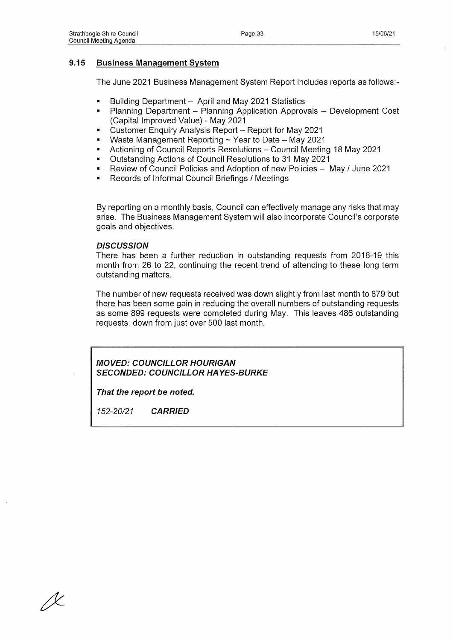## **9.15 Business Management System**

The June 2021 Business Management System Report includes reports as follows:-

- Building Department  $-$  April and May 2021 Statistics
- Planning Department Planning Application Approvals Development Cost (Capital Improved Value) - May 2021
- Customer Enquiry Analysis Report Report for May 2021
- Waste Management Reporting  $\sim$  Year to Date May 2021
- Actioning of Council Reports Resolutions Council Meeting 18 May 2021
- \* Outstanding Actions of Council Resolutions to 31 May 2021
- Review of Council Policies and Adoption of new Policies May / June 2021
- Records of Informal Council Briefings / Meetings

By reporting on a monthly basis, Council can effectively manage any risks that may arise. The Business Management System will also incorporate Council's corporate goals and objectives.

#### *DISCUSSION*

There has been a further reduction in outstanding requests from 2018-19 this month from 26 to 22, continuing the recent trend of attending to these long term outstanding matters.

The number of new requests received was down slightly from last month to 879 but there has been some gain in reducing the overall numbers of outstanding requests as some 899 requests were completed during May. This leaves 486 outstanding requests, down from just over 500 last month.

## *MOVED: COUNCILLOR HOURIGAN SECONDED: COUNCILLOR HAYES-BURKE*

*That the report be noted.*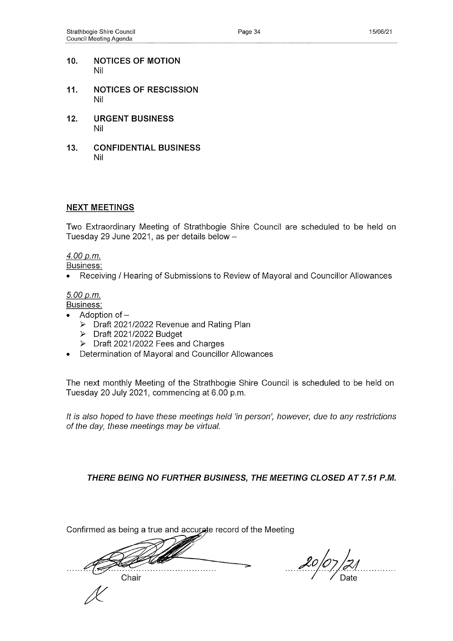- **10. NOTICES OF MOTION** Nil
- **11. NOTICES OF RESCISSION** Nil
- **12. URGENT BUSINESS** Nil
- **13. CONFIDENTIAL BUSINESS** Nil

## **NEXT MEETINGS**

Two Extraordinary Meeting of Strathbogie Shire Council are scheduled to be held on Tuesday 29 June 2021, as per details below -

## *4.00 p.m.*

Business:

• Receiving / Hearing of Submissions to Review of Mayoral and Councillor Allowances

## *5.00 p.m.*

Business:

- Adoption of  $-$ 
	- > Draft 2021/2022 Revenue and Rating Plan
	- > Draft 2021/2022 Budget
	- $\triangleright$  Draft 2021/2022 Fees and Charges
- Determination of Mayoral and Councillor Allowances

The next monthly Meeting of the Strathbogie Shire Council is scheduled to be held on Tuesday 20 July 2021, commencing at 6.00 p.m.

*It is also hoped to have these meetings held 'in person', however, due to any restrictions of the day, these meetings may be virtual.*

*THERE BEING NO FURTHER BUSINESS, THE MEETING CLOSED AT 7.51 P.M.*

Confirmed as being a true and accurate record of the Meeting

 $\ldots$  . . . .  $\frac{1}{\sqrt{2}}$ Chair